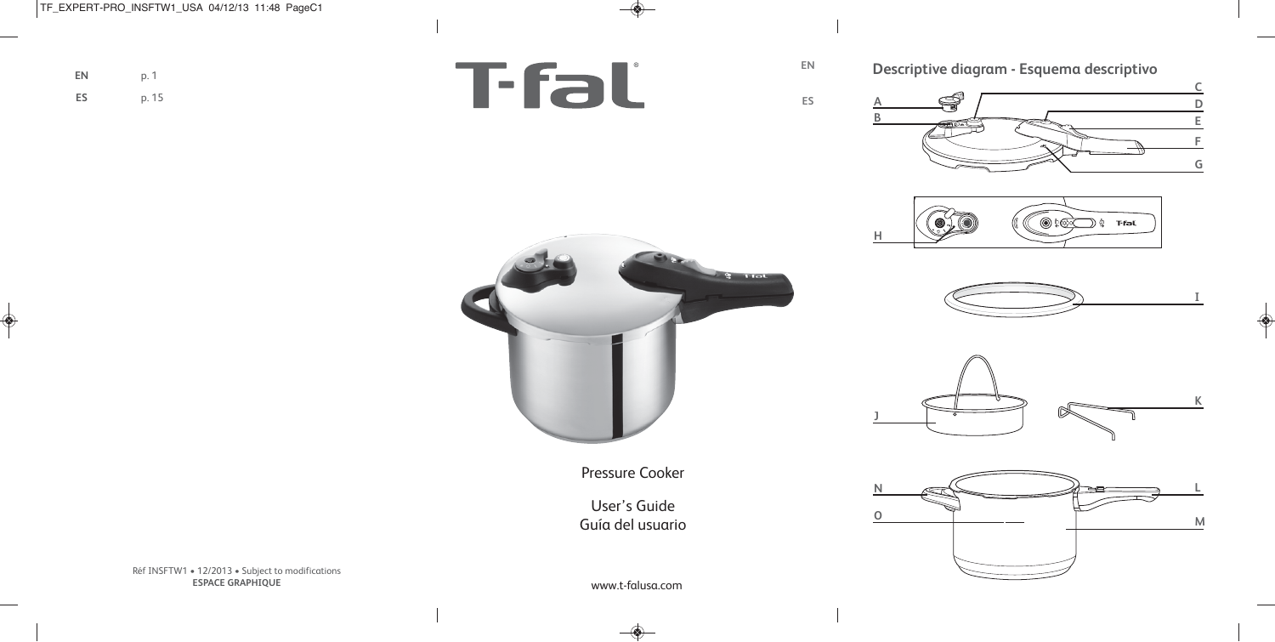**ES**

**EN**

**Descriptive diagram - Esquema descriptivo**

S **B**





**C D E F G**









Pressure Cooker

User's Guide Guía del usuario

**EN** p. 1

Réf INSFTW1 • 12/2013 • Subject to modifications **ESPACE GRAPHIQUE**

www.t-falusa.com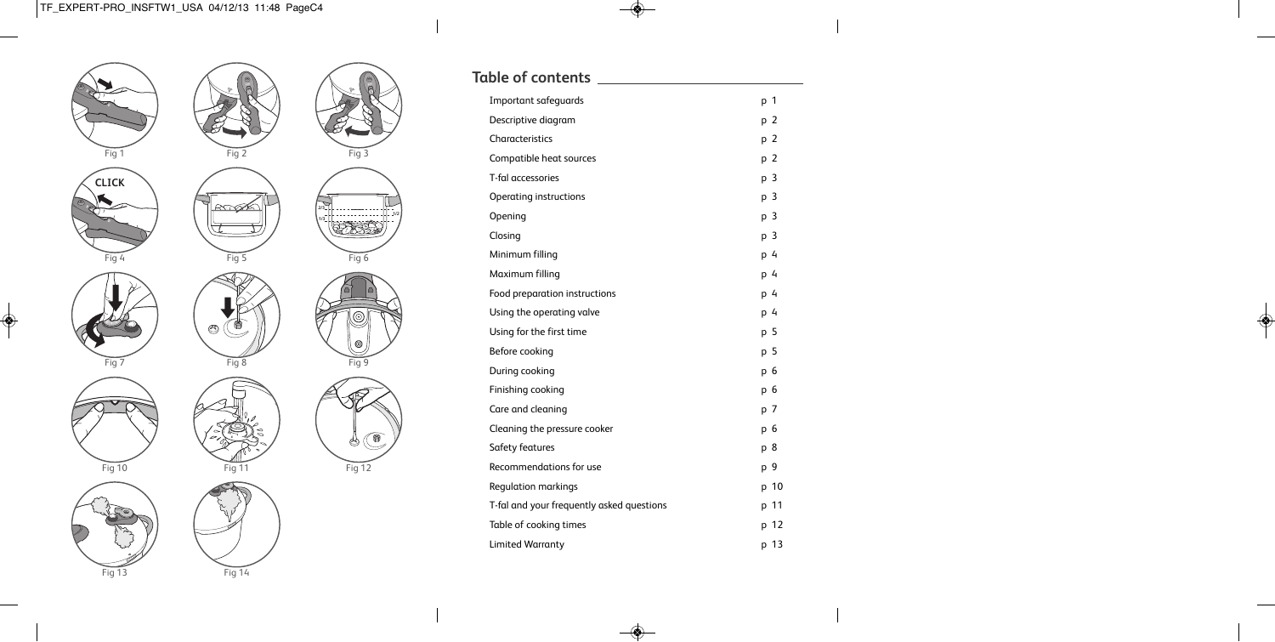

P.

F i g 3

F i g 6

F i g 9

 $\circledcirc$ 

Fig 12

**1 / 2**

| <b>Table of contents</b>                  |      |
|-------------------------------------------|------|
| Important safeguards                      | p 1  |
| Descriptive diagram                       | p 2  |
| Characteristics                           | p 2  |
| Compatible heat sources                   | p 2  |
| T-fal accessories                         | р3   |
| Operating instructions                    | p 3  |
| Opening                                   | p 3  |
| Closing                                   | p 3  |
| Minimum filling                           | p 4  |
| Maximum filling                           | p 4  |
| Food preparation instructions             | p 4  |
| Using the operating valve                 | p 4  |
| Using for the first time                  | p 5  |
| Before cooking                            | p 5  |
| During cooking                            | p 6  |
| Finishing cooking                         | р 6  |
| Care and cleaning                         | p 7  |
| Cleaning the pressure cooker              | р 6  |
| Safety features                           | p 8  |
| Recommendations for use                   | p 9  |
| <b>Regulation markings</b>                | p 10 |
| T-fal and your frequently asked questions | p 11 |
| Table of cooking times                    | p 12 |
| <b>Limited Warranty</b>                   | p 13 |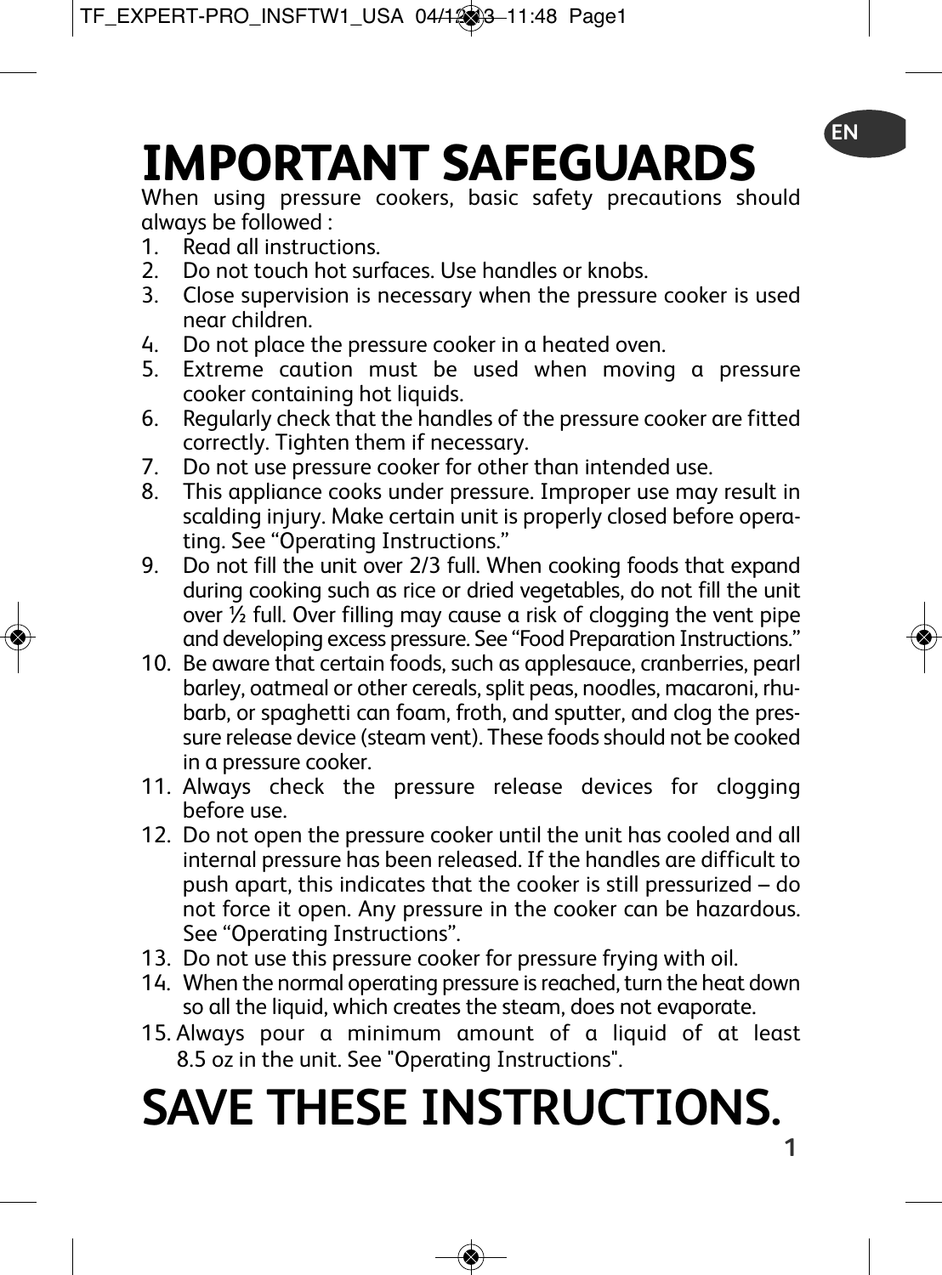# **IMPORTANT SAFEGUARDS**

When using pressure cookers, basic safety precautions should always be followed :

- 1. Read all instructions.<br>2. Do not touch hot sur
- 2. Do not touch hot surfaces. Use handles or knobs.<br>3. Close supervision is necessary when the pressure
- Close supervision is necessary when the pressure cooker is used near children.
- 4. Do not place the pressure cooker in a heated oven.<br>5. Extreme, caution, must, be, used, when, moving
- Extreme caution must be used when moving a pressure cooker containing hot liquids.
- 6. Regularly check that the handles of the pressure cooker are fitted correctly. Tighten them if necessary.
- 7. Do not use pressure cooker for other than intended use.
- 8. This appliance cooks under pressure. Improper use may result in scalding injury. Make certain unit is properly closed before operating. See "Operating Instructions."
- 9. Do not fill the unit over 2/3 full. When cooking foods that expand during cooking such as rice or dried vegetables, do not fill the unit over  $\frac{7}{2}$  full. Over filling may cause a risk of clogging the vent pipe and developing excess pressure. See "Food Preparation Instructions."
- 10. Be aware that certain foods, such as applesauce, cranberries, pearl barley, oatmeal or other cereals, split peas, noodles, macaroni, rhubarb, or spaghetti can foam, froth, and sputter, and clog the pressure release device (steam vent). These foods should not be cooked in a pressure cooker.
- 11. Always check the pressure release devices for clogging before use.
- 12. Do not open the pressure cooker until the unit has cooled and all internal pressure has been released. If the handles are difficult to push apart, this indicates that the cooker is still pressurized – do not force it open. Any pressure in the cooker can be hazardous. See "Operating Instructions".
- 13. Do not use this pressure cooker for pressure frying with oil.
- 14. When the normal operating pressure is reached, turn the heat down so all the liquid, which creates the steam, does not evaporate.
- 15. Always pour a minimum amount of a liquid of at least 8.5 oz in the unit. See "Operating Instructions".

# **1 SAVE THESE INSTRUCTIONS.**

**EN**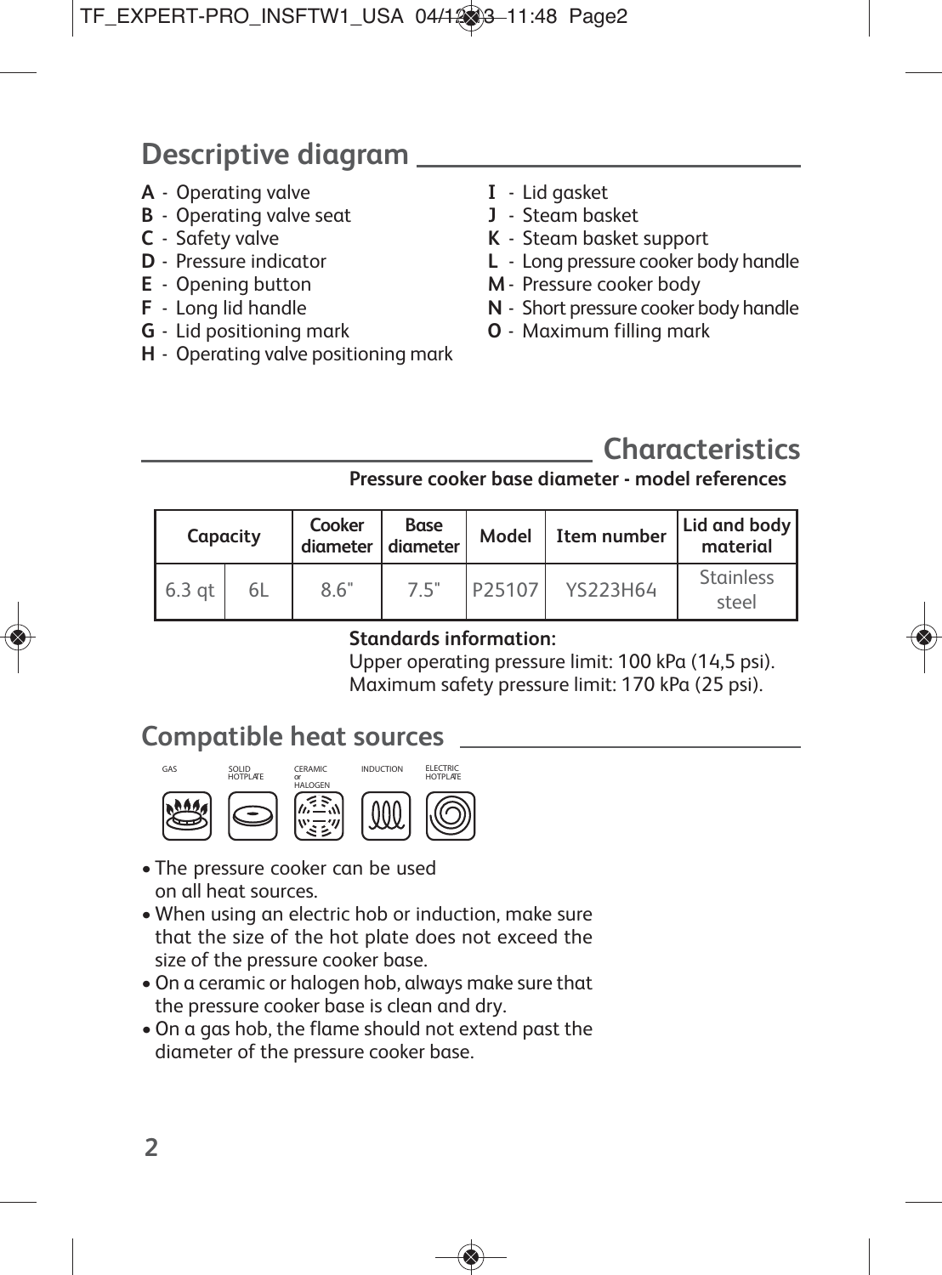# **Descriptive diagram**

- **A** Operating valve
- **B** Operating valve seat
- **C** Safety valve
- **D** Pressure indicator
- **E** Opening button
- **F** Long lid handle
- **G** Lid positioning mark
- **H** Operating valve positioning mark
- **I** Lid gasket
- **J** Steam basket
- **K** Steam basket support
- **L** Long pressure cooker body handle
- **M** Pressure cooker body
- **N** Short pressure cooker body handle
- **O** Maximum filling mark

# **Characteristics**

## **Pressure cooker base diameter - model references**

| Capacity |    | Cooker<br>diameter diameter | Base | Model  | Item number | Lid and body<br>material  |
|----------|----|-----------------------------|------|--------|-------------|---------------------------|
| 6.3 at   | 6L | 8.6"                        | 7.5" | P25107 | YS223H64    | <b>Stainless</b><br>steel |

## **Standards information:**

Upper operating pressure limit: 100 kPa (14,5 psi). Maximum safety pressure limit: 170 kPa (25 psi).

## **Compatible heat sources**



- The pressure cooker can be used on all heat sources.
- When using an electric hob or induction, make sure that the size of the hot plate does not exceed the size of the pressure cooker base.
- •On a ceramic or halogen hob, always make sure that the pressure cooker base is clean and dry.
- •On a gas hob, the flame should not extend past the diameter of the pressure cooker base.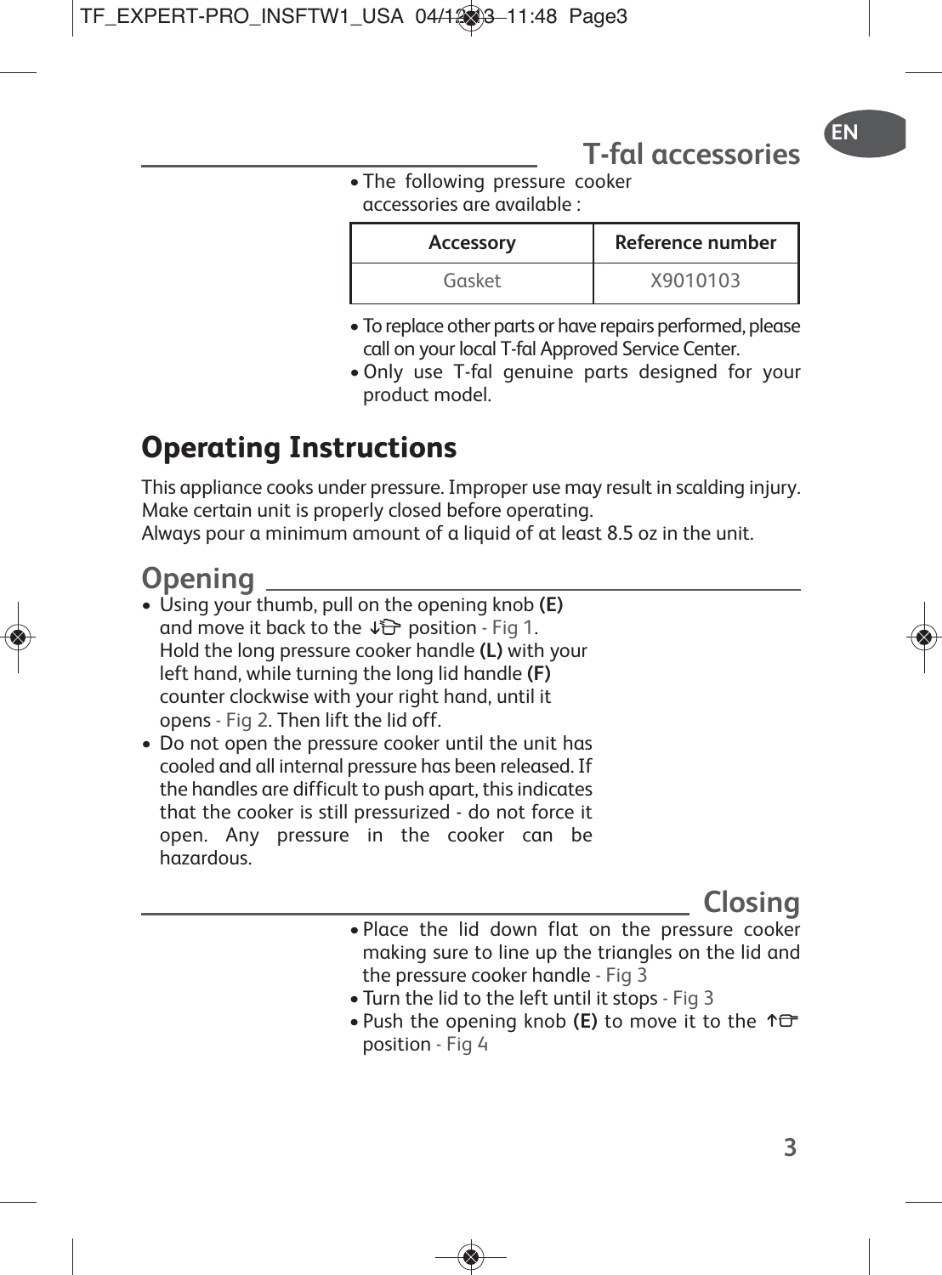# **T-fal accessories**

• The following pressure cooker accessories are available :

| Accessory | Reference number |
|-----------|------------------|
| Gasket    | X9010103         |

- To replace other parts or have repairs performed, please call on your local T-fal Approved Service Center.
- •Only use T-fal genuine parts designed for your product model.

# **Operating Instructions**

This appliance cooks under pressure. Improper use may result in scalding injury. Make certain unit is properly closed before operating.

Always pour a minimum amount of a liquid of at least 8.5 oz in the unit.

## **Opening**

- Using your thumb, pull on the opening knob **(E)** and move it back to the  $\sqrt{2}$  position - Fig 1. Hold the long pressure cooker handle **(L)** with your left hand, while turning the long lid handle **(F)** counter clockwise with your right hand, until it opens - Fig 2. Then lift the lid off.
- Do not open the pressure cooker until the unit has cooled and all internal pressure has been released. If the handles are difficult to push apart, thisindicates that the cooker is still pressurized - do not force it open. Any pressure in the cooker can be hazardous.

## **Closing**

- Place the lid down flat on the pressure cooker making sure to line up the triangles on the lid and the pressure cooker handle - Fig 3
- Turn the lid to the left until it stops Fig 3
- Push the opening knob **(E)** to move it to the position - Fig 4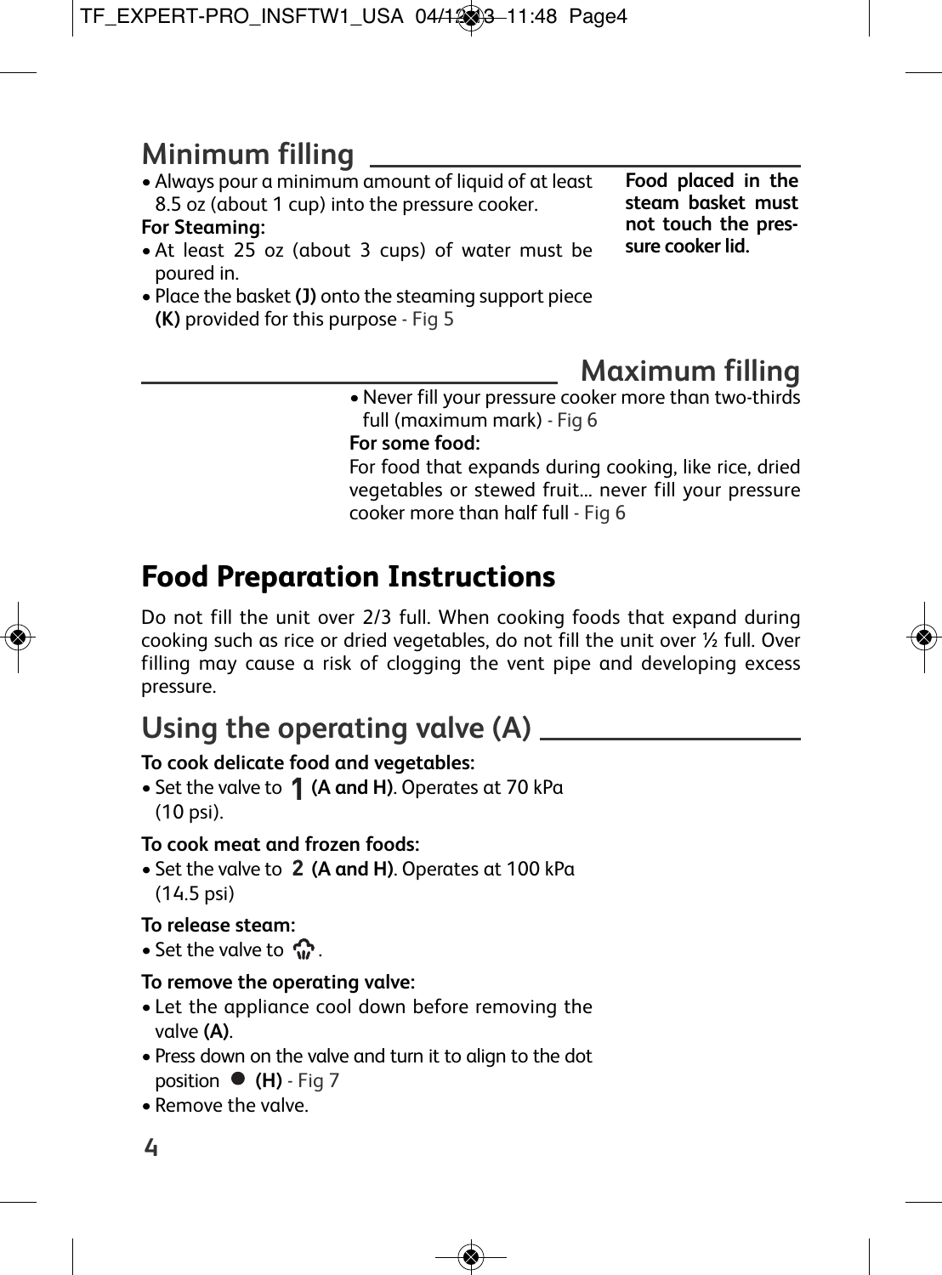# **Minimum filling**

• Always pour a minimum amount of liquid of at least 8.5 oz (about 1 cup) into the pressure cooker.

## **For Steaming:**

- At least 25 oz (about 3 cups) of water must be poured in.
- Place the basket **(J)** onto the steaming support piece **(K)** provided for this purpose - Fig 5

**Food placed in the steam basket must not touch the pressure cooker lid.**

# **Maximum filling**

•Never fill your pressure cooker more than two-thirds full (maximum mark) - Fig 6

## **For some food:**

For food that expands during cooking, like rice, dried vegetables or stewed fruit... never fill your pressure cooker more than half full - Fig 6

# **Food Preparation Instructions**

Do not fill the unit over 2/3 full. When cooking foods that expand during cooking such as rice or dried vegetables, do not fill the unit over ½ full. Over filling may cause a risk of clogging the vent pipe and developing excess pressure.

# **Using the operating valve (A)**

## **To cook delicate food and vegetables:**

• Set the valve to  $\hat{\textbf{1}}$  (A and H). Operates at 70 kPa (10 psi).

## **To cook meat and frozen foods:**

• Set the valve to 2 (A and H). Operates at 100 kPa (14.5 psi)

## **To release steam:**

• Set the valve to  $\mathbb{C}$ .

## **To remove the operating valve:**

- Let the appliance cool down before removing the valve **(A)**.
- Press down on the valve and turn it to align to the dot **position ● (H)** - Fig 7
- Remove the valve.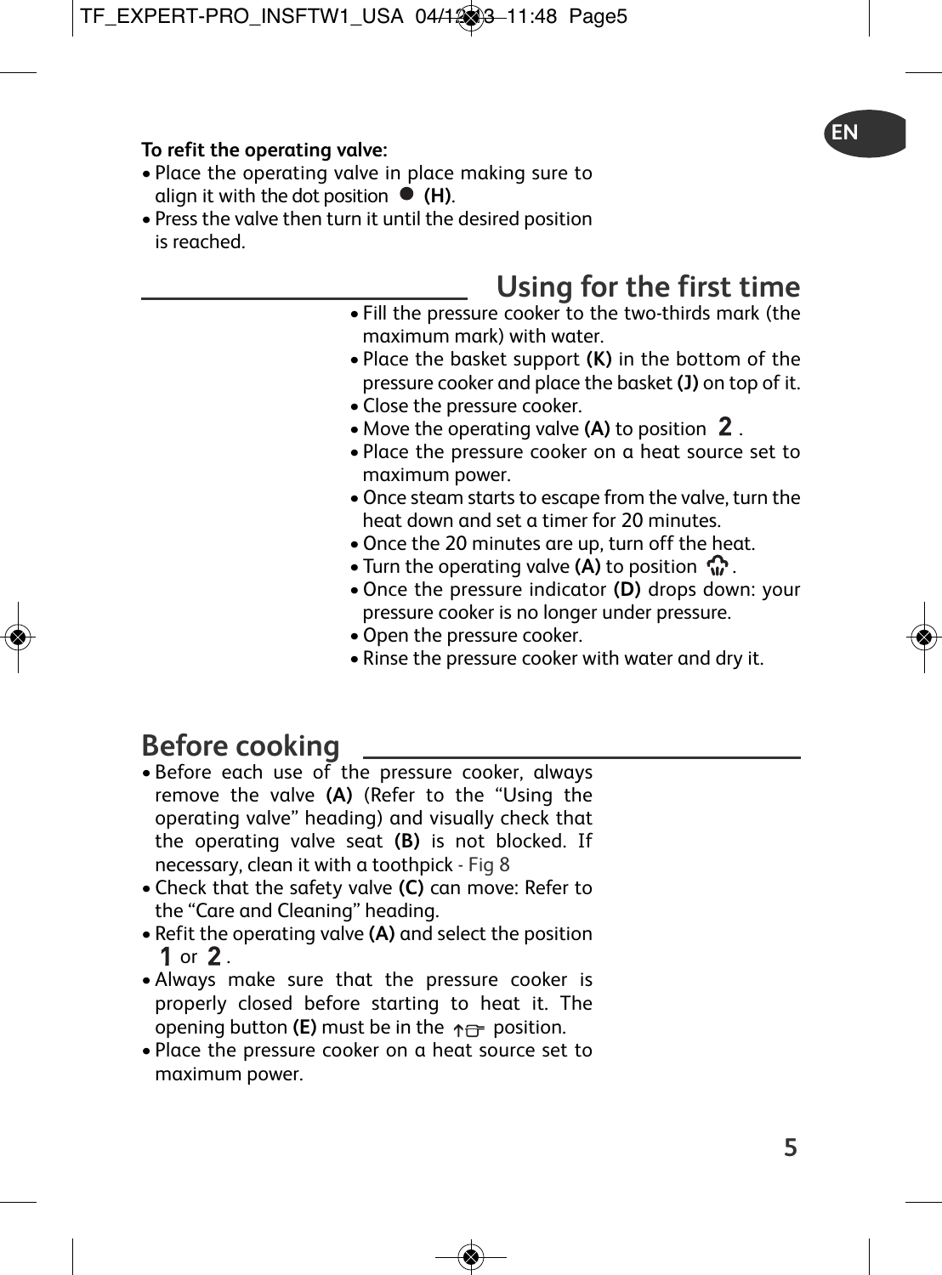### **To refit the operating valve:**

- Place the operating valve in place making sure to align it with the dot position  $\bullet$  (H).
- Press the valve then turn it until the desired position is reached.

# **Using for the first time**

**EN**

- Fill the pressure cooker to the two-thirds mark (the maximum mark) with water.
- Place the basket support **(K)** in the bottom of the pressure cooker and place the basket **(J)** on top of it.
- Close the pressure cooker.
- Move the operating valve **(A)** to position 2.
- Place the pressure cooker on a heat source set to maximum power.
- •Once steam starts to escape from the valve, turn the heat down and set a timer for 20 minutes.
- •Once the 20 minutes are up, turn off the heat.
- Turn the operating valve **(A)** to position  $\Omega$ .
- •Once the pressure indicator **(D)** drops down: your pressure cooker is no longer under pressure.
- •Open the pressure cooker.
- Rinse the pressure cooker with water and dry it.

# **Before cooking**

- Before each use of the pressure cooker, always remove the valve **(A)** (Refer to the "Using the operating valve" heading) and visually check that the operating valve seat **(B)** is not blocked. If necessary, clean it with a toothpick - Fig 8
- Check that the safety valve **(C)** can move: Refer to the "Care and Cleaning" heading.
- Refit the operating valve **(A)** and select the position 1 or  $2<sub>1</sub>$
- Always make sure that the pressure cooker is properly closed before starting to heat it. The opening button **(E)** must be in the  $\uparrow \rightarrow$  position.
- Place the pressure cooker on a heat source set to maximum power.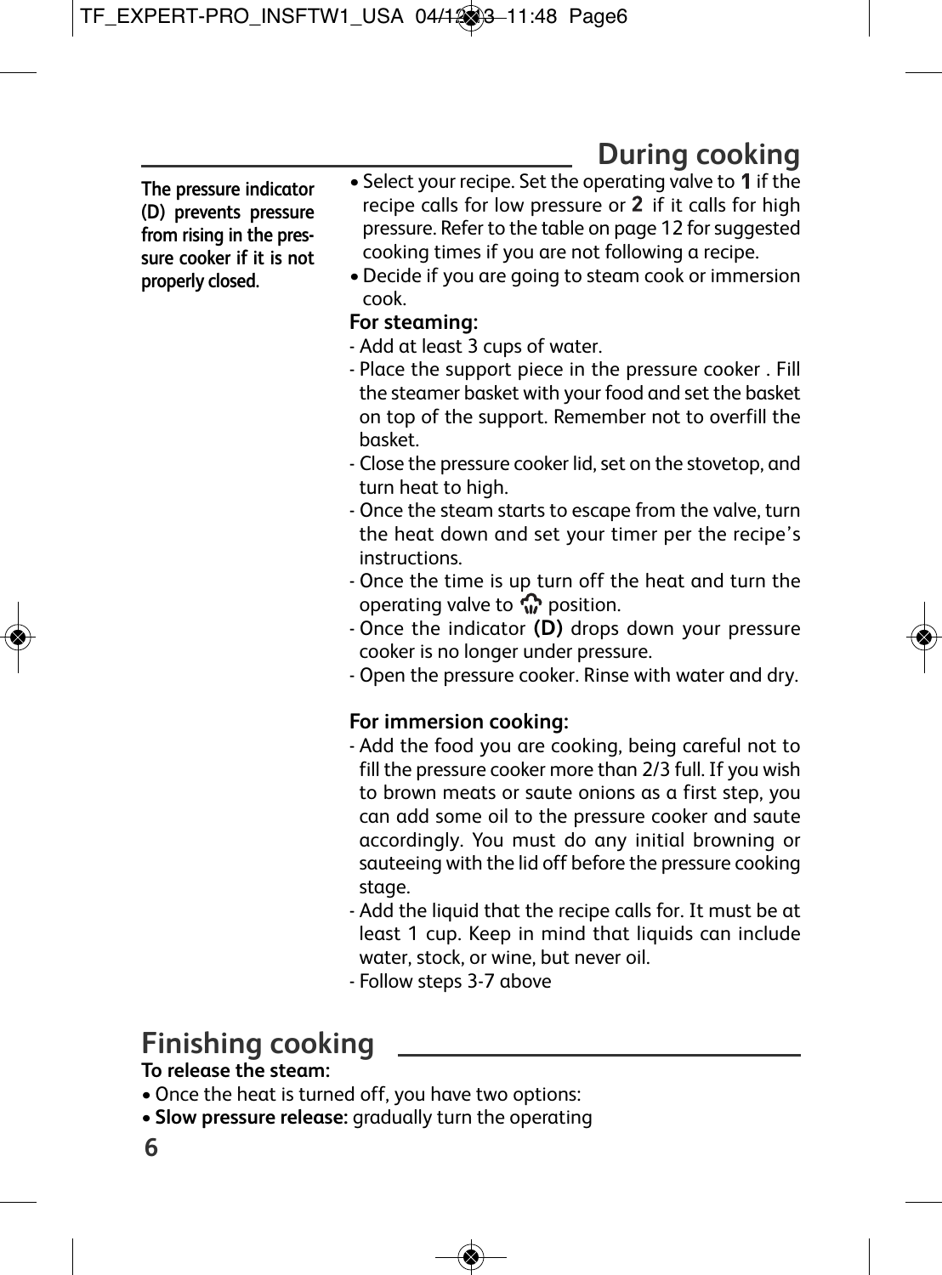# **During cooking**

**The pressure indicator (D) prevents pressure from rising in the pressure cooker if it is not properly closed.**

- Select your recipe. Set the operating valve to  $1$  if the recipe calls for low pressure or  $2$  if it calls for high pressure. Refer to the table on page 12 for suggested cooking times if you are not following a recipe.
- •Decide if you are going to steam cook or immersion cook.

## **For steaming:**

- Add at least 3 cups of water.
- Place the support piece in the pressure cooker . Fill the steamer basket with your food and set the basket on top of the support. Remember not to overfill the basket.
- Close the pressure cooker lid, set on the stovetop, and turn heat to high.
- Once the steam starts to escape from the valve, turn the heat down and set your timer per the recipe's instructions.
- Once the time is up turn off the heat and turn the operating valve to  $\mathbb{C}$  position.
- Once the indicator **(D)** drops down your pressure cooker is no longer under pressure.
- Open the pressure cooker. Rinse with water and dry.

## **For immersion cooking:**

- Add the food you are cooking, being careful not to fill the pressure cooker more than 2/3 full. If you wish to brown meats or saute onions as a first step, you can add some oil to the pressure cooker and saute accordingly. You must do any initial browning or sauteeing with the lid off before the pressure cooking stage.
- Add the liquid that the recipe calls for. It must be at least 1 cup. Keep in mind that liquids can include water, stock, or wine, but never oil.
- Follow steps 3-7 above

# **Finishing cooking**

## **To release the steam:**

- •Once the heat is turned off, you have two options:
- **Slow pressure release:** gradually turn the operating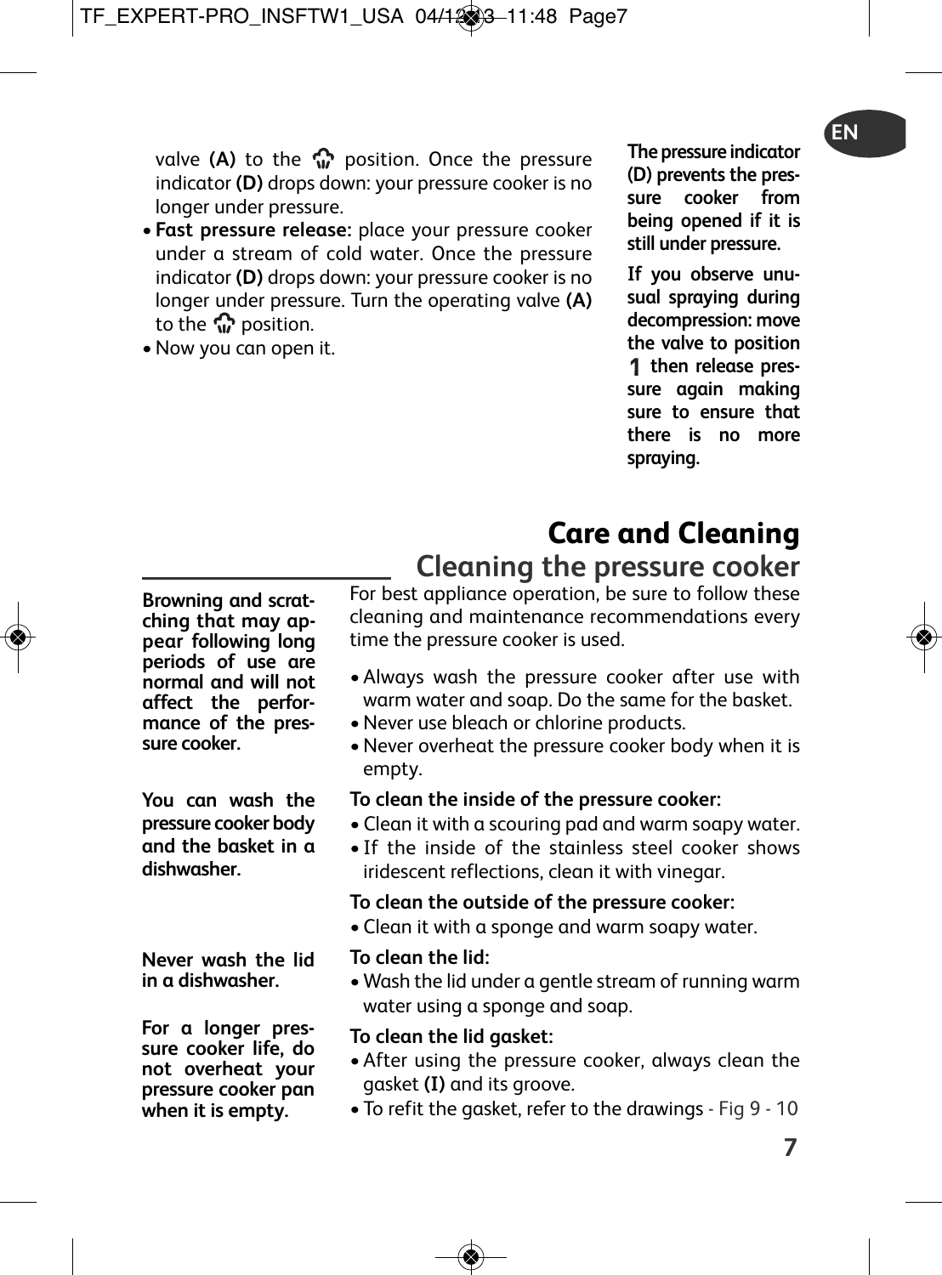valve (A) to the  $\mathbb{Q}$  position. Once the pressure indicator **(D)** drops down: your pressure cooker is no longer under pressure.

- **Fast pressure release:** place your pressure cooker under a stream of cold water. Once the pressure indicator **(D)** drops down: your pressure cooker is no longer under pressure. Turn the operating valve **(A)** to the  $\mathbb{G}$  position.
- •Now you can open it.

**The pressure indicator (D) prevents the pressure cooker from being opened if it is still under pressure.**

**If you observe unusual spraying during decompression: move the valve to position then release pressure again making sure to ensure that there is no more spraying.**

# **Care and Cleaning**

**Cleaning the pressure cooker**

**Browning and scratching that may appear following long periods of use are normal and will not affect the performance of the pressure cooker.**

**You can wash the pressure cooker body and the basket in a dishwasher.**

**Never wash the lid in a dishwasher.**

**For a longer pressure cooker life, do not overheat your pressure cooker pan when it is empty.**

For best appliance operation, be sure to follow these cleaning and maintenance recommendations every time the pressure cooker is used.

- Always wash the pressure cooker after use with warm water and soap. Do the same for the basket.
- •Never use bleach or chlorine products.
- •Never overheat the pressure cooker body when it is empty.

## **To clean the inside of the pressure cooker:**

- Clean it with a scouring pad and warm soapy water.
- If the inside of the stainless steel cooker shows iridescent reflections, clean it with vinegar.

## **To clean the outside of the pressure cooker:**

• Clean it with a sponge and warm soapy water.

## **To clean the lid:**

• Wash the lid under a gentle stream of running warm water using a sponge and soap.

## **To clean the lid gasket:**

- After using the pressure cooker, always clean the gasket **(I)** and its groove.
- To refit the gasket, refer to the drawings Fig 9 10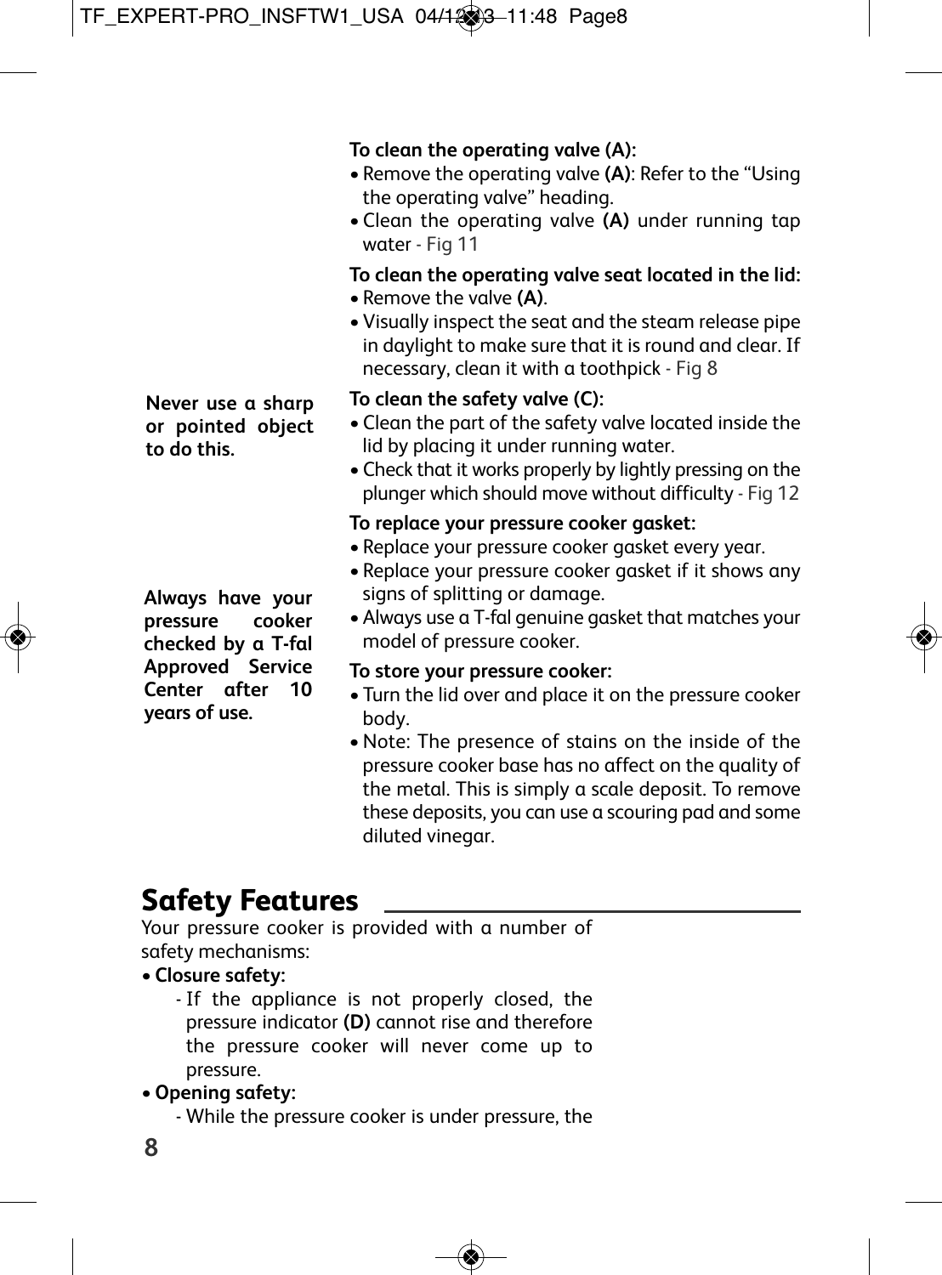## **To clean the operating valve (A):**

- Remove the operating valve **(A)**: Refer to the "Using the operating valve" heading.
- Clean the operating valve **(A)** under running tap water - Fig 11

## **To clean the operating valve seat located in the lid:**

- Remove the valve **(A)**.
- Visually inspect the seat and the steam release pipe in daylight to make sure that it is round and clear. If necessary, clean it with a toothpick - Fig 8

## **To clean the safety valve (C):**

- Clean the part of the safety valve located inside the lid by placing it under running water.
- Check that it works properly by lightly pressing on the plunger which should move without difficulty - Fig 12

## **To replace your pressure cooker gasket:**

- Replace your pressure cooker gasket every year.
- Replace your pressure cooker gasket if it shows any signs of splitting or damage.
- Always use a T-fal genuine gasket that matches your model of pressure cooker.

## **To store your pressure cooker:**

- Turn the lid over and place it on the pressure cooker body.
- •Note: The presence of stains on the inside of the pressure cooker base has no affect on the quality of the metal. This is simply a scale deposit. To remove these deposits, you can use a scouring pad and some diluted vinegar.

# **Safety Features**

Your pressure cooker is provided with a number of safety mechanisms:

## • **Closure safety:**

- If the appliance is not properly closed, the pressure indicator **(D)** cannot rise and therefore the pressure cooker will never come up to pressure.

## •**Opening safety:**

- While the pressure cooker is under pressure, the

**Never use a sharp or pointed object to do this.**

**Always have your pressure cooker checked by a T-fal Approved Service Center after 10 years of use.**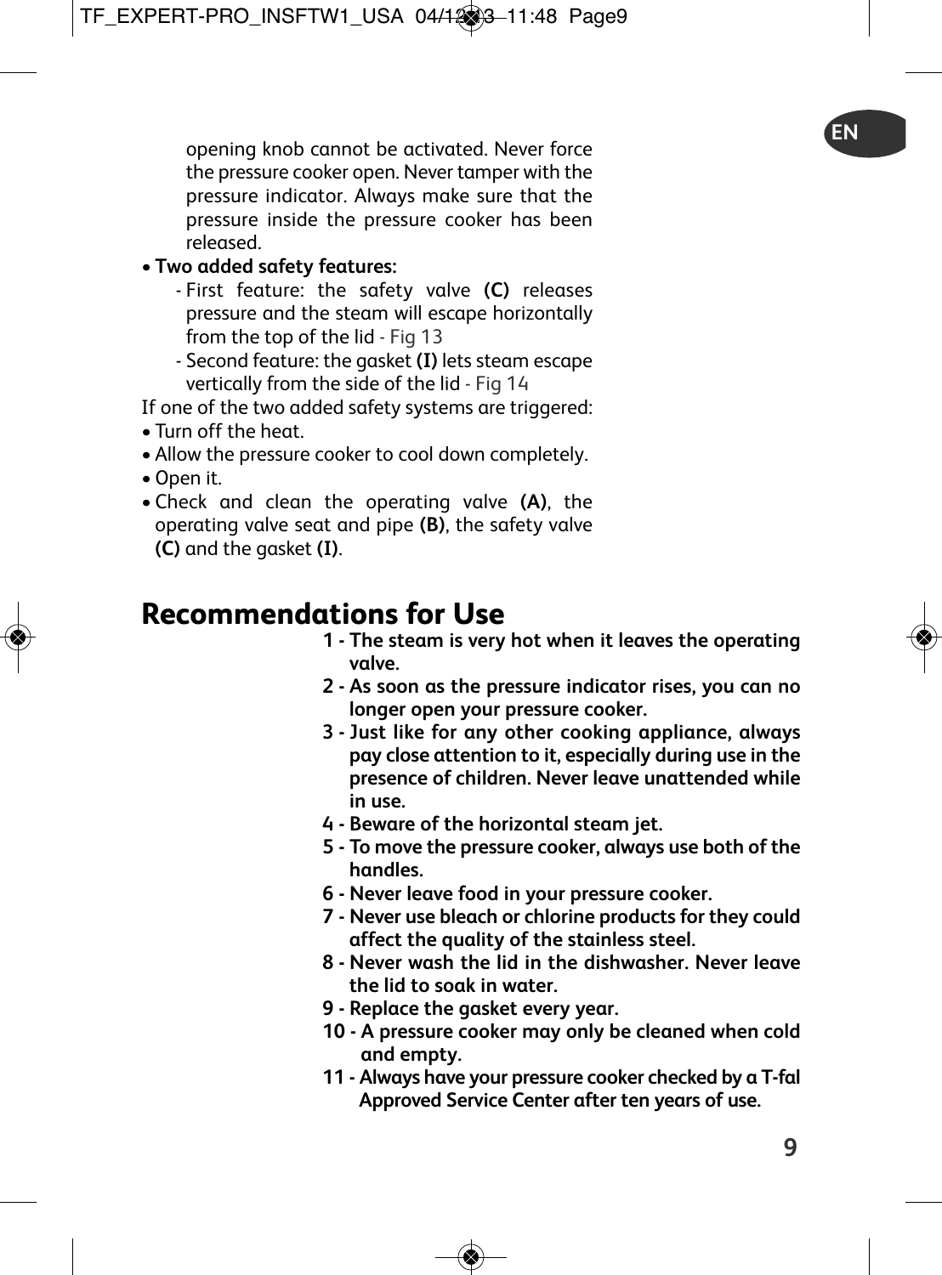opening knob cannot be activated. Never force the pressure cooker open. Never tamper with the pressure indicator. Always make sure that the pressure inside the pressure cooker has been released.

## • **Two added safety features:**

- First feature: the safety valve **(C)** releases pressure and the steam will escape horizontally from the top of the lid - Fig 13
- Second feature: the gasket **(I)** lets steam escape vertically from the side of the lid - Fig 14

If one of the two added safety systems are triggered:

- Turn off the heat.
- Allow the pressure cooker to cool down completely.
- •Open it.
- Check and clean the operating valve **(A)**, the operating valve seat and pipe **(B)**, the safety valve **(C)** and the gasket **(I)**.

# **Recommendations for Use**

- **1 - The steam is very hot when it leaves the operating valve.**
- **2 - As soon as the pressure indicator rises, you can no longer open your pressure cooker.**
- **3 - Just like for any other cooking appliance, always pay close attention to it, especially during use in the presence of children. Never leave unattended while in use.**
- **4 - Beware of the horizontal steam jet.**
- **5 - To move the pressure cooker, always use both of the handles.**
- **6 - Never leave food in your pressure cooker.**
- **7 - Never use bleach or chlorine products for they could affect the quality of the stainless steel.**
- **8 - Never wash the lid in the dishwasher. Never leave the lid to soak in water.**
- **9 - Replace the gasket every year.**
- **10 - A pressure cooker may only be cleaned when cold and empty.**
- **11 - Always have your pressure cooker checked by a T-fal Approved Service Center after ten years of use.**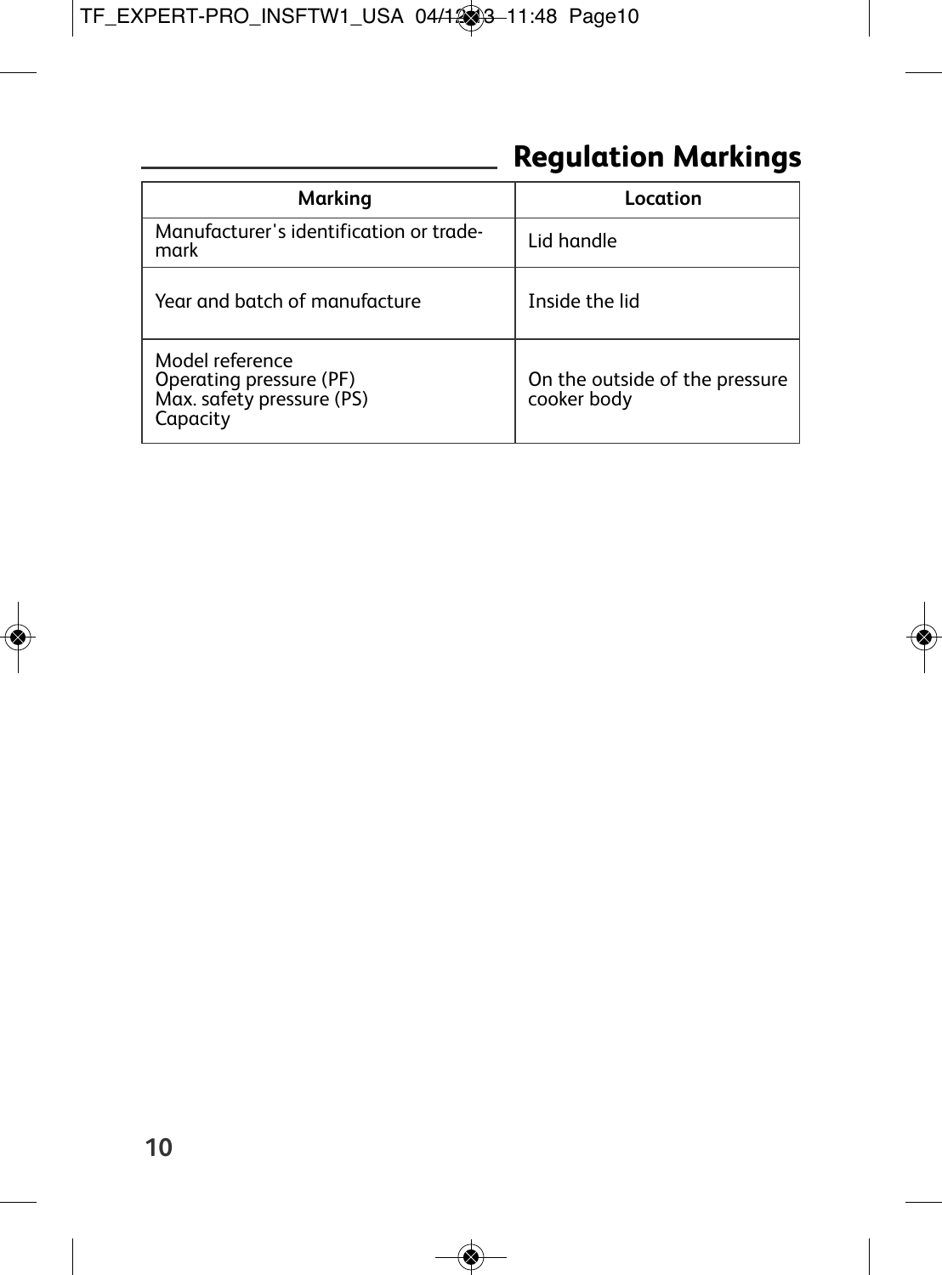# **Regulation Markings**

| Marking                                                                             | Location                                      |
|-------------------------------------------------------------------------------------|-----------------------------------------------|
| Manufacturer's identification or trade-<br>mark                                     | Lid handle                                    |
| Year and batch of manufacture                                                       | Inside the lid                                |
| Model reference<br>Operating pressure (PF)<br>Max. safety pressure (PS)<br>Capacity | On the outside of the pressure<br>cooker body |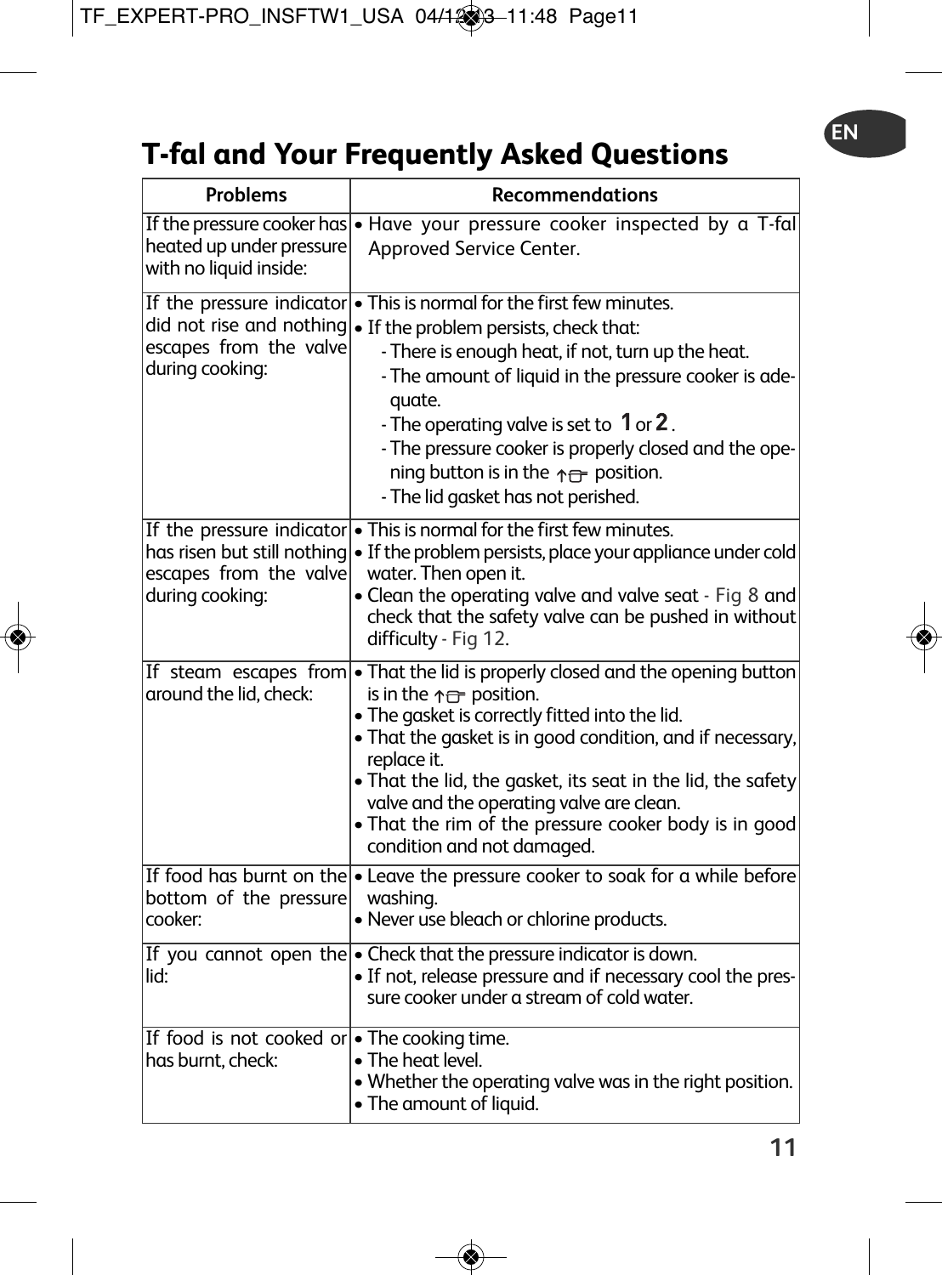# **T-fal and Your Frequently Asked Questions**

| Problems                                                                                              | Recommendations                                                                                                                                                                                                                                                                                                                                                                                                                                                             |
|-------------------------------------------------------------------------------------------------------|-----------------------------------------------------------------------------------------------------------------------------------------------------------------------------------------------------------------------------------------------------------------------------------------------------------------------------------------------------------------------------------------------------------------------------------------------------------------------------|
| heated up under pressure<br>with no liquid inside:                                                    | If the pressure cooker has $\bullet$ Have your pressure cooker inspected by a T-fal<br>Approved Service Center.                                                                                                                                                                                                                                                                                                                                                             |
| did not rise and nothing<br>escapes from the valve<br>during cooking:                                 | If the pressure indicator $\bullet$ This is normal for the first few minutes.<br>• If the problem persists, check that:<br>- There is enough heat, if not, turn up the heat.<br>- The amount of liquid in the pressure cooker is ade-<br>quate.<br>- The operating valve is set to 1 or 2.<br>- The pressure cooker is properly closed and the ope-<br>ning button is in the $\uparrow \rightleftharpoons$ position.<br>- The lid gasket has not perished.                  |
| If the pressure indicator<br>has risen but still nothing<br>escapes from the valve<br>during cooking: | • This is normal for the first few minutes.<br>· If the problem persists, place your appliance under cold<br>water. Then open it.<br>• Clean the operating valve and valve seat - Fig 8 and<br>check that the safety valve can be pushed in without<br>difficulty - Fig 12.                                                                                                                                                                                                 |
| around the lid, check:                                                                                | If steam escapes from $\bullet$ That the lid is properly closed and the opening button<br>is in the $\uparrow \rightleftharpoons$ position.<br>. The gasket is correctly fitted into the lid.<br>• That the gasket is in good condition, and if necessary,<br>replace it.<br>• That the lid, the gasket, its seat in the lid, the safety<br>valve and the operating valve are clean.<br>• That the rim of the pressure cooker body is in good<br>condition and not damaged. |
| bottom of the pressure<br>cooker:                                                                     | If food has burnt on the $\bullet$ Leave the pressure cooker to soak for a while before<br>washing.<br>• Never use bleach or chlorine products.                                                                                                                                                                                                                                                                                                                             |
| lid:                                                                                                  | If you cannot open the $\bullet$ Check that the pressure indicator is down.<br>· If not, release pressure and if necessary cool the pres-<br>sure cooker under a stream of cold water.                                                                                                                                                                                                                                                                                      |
| If food is not cooked or • The cooking time.<br>has burnt, check:                                     | • The heat level.<br>• Whether the operating valve was in the right position.<br>• The amount of liquid.                                                                                                                                                                                                                                                                                                                                                                    |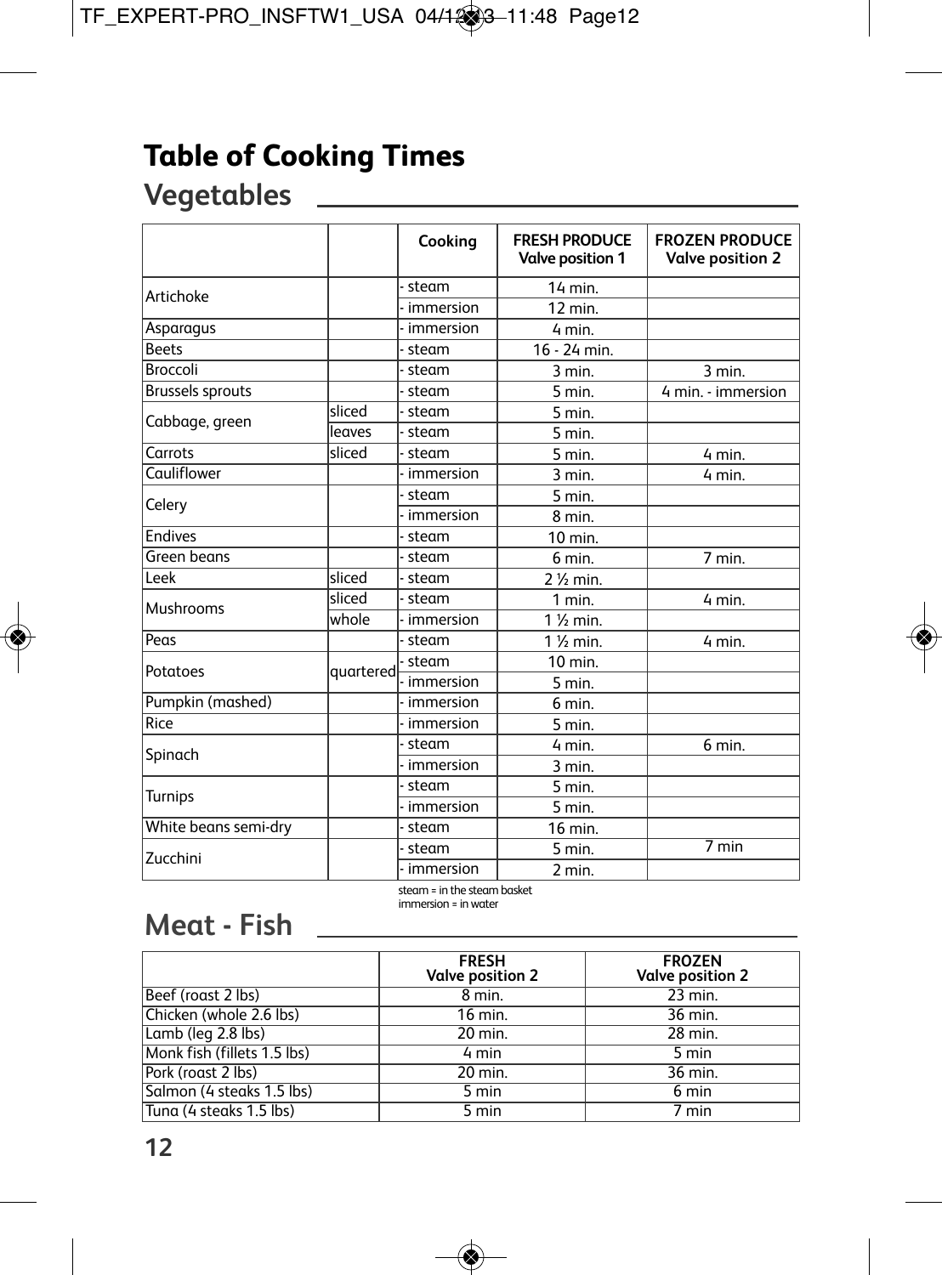# **Table of Cooking Times**

# **Vegetables**

|                         |           | Cooking     | <b>FRESH PRODUCE</b><br>Valve position 1 | <b>FROZEN PRODUCE</b><br><b>Valve position 2</b> |
|-------------------------|-----------|-------------|------------------------------------------|--------------------------------------------------|
| Artichoke               |           | steam       | 14 min.                                  |                                                  |
|                         |           | immersion   | 12 min.                                  |                                                  |
| Asparagus               |           | immersion   | 4 min.                                   |                                                  |
| <b>Beets</b>            |           | steam       | 16 - 24 min.                             |                                                  |
| Broccoli                |           | steam       | $3$ min.                                 | 3 min.                                           |
| <b>Brussels sprouts</b> |           | steam       | 5 min.                                   | 4 min. - immersion                               |
| Cabbage, green          | sliced    | steam       | 5 min.                                   |                                                  |
|                         | leaves    | steam       | 5 min.                                   |                                                  |
| Carrots                 | sliced    | steam       | 5 min.                                   | 4 min.                                           |
| Cauliflower             |           | immersion   | 3 min.                                   | 4 min.                                           |
| Celery                  |           | steam       | 5 min.                                   |                                                  |
|                         |           | immersion   | 8 min.                                   |                                                  |
| <b>Endives</b>          |           | steam       | 10 min.                                  |                                                  |
| Green beans             |           | steam       | 6 min.                                   | 7 min.                                           |
| Leek                    | sliced    | steam       | $2\%$ min.                               |                                                  |
| Mushrooms               | sliced    | steam       | $1$ min.                                 | 4 min.                                           |
|                         | whole     | immersion   | $1\%$ min.                               |                                                  |
| Peas                    |           | - steam     | $1\%$ min.                               | 4 min.                                           |
| Potatoes                |           | steam       | 10 min.                                  |                                                  |
|                         | quartered | - immersion | 5 min.                                   |                                                  |
| Pumpkin (mashed)        |           | immersion   | 6 min.                                   |                                                  |
| Rice                    |           | immersion   | 5 min.                                   |                                                  |
| Spinach                 |           | steam       | 4 min.                                   | 6 min.                                           |
|                         |           | immersion   | $3$ min.                                 |                                                  |
|                         |           | steam       | 5 min.                                   |                                                  |
| Turnips                 |           | immersion   | 5 min.                                   |                                                  |
| White beans semi-dry    |           | steam       | 16 min.                                  |                                                  |
| Zucchini                |           | steam       | 5 min.                                   | $\overline{7}$ min                               |
|                         |           | immersion   | 2 min.                                   |                                                  |

steam = in the steam basket immersion = inwater

## **Meat - Fish**

|                             | <b>FRESH</b><br><b>Valve position 2</b> | <b>FROZEN</b><br>Valve position 2 |
|-----------------------------|-----------------------------------------|-----------------------------------|
| Beef (roast 2 lbs)          | $8$ min.                                | $23$ min.                         |
| Chicken (whole 2.6 lbs)     | $16$ min.                               | 36 min.                           |
| Lamb (leg 2.8 lbs)          | $20$ min.                               | 28 min.                           |
| Monk fish (fillets 1.5 lbs) | 4 min                                   | 5 min                             |
| Pork (roast 2 lbs)          | $20$ min.                               | 36 min.                           |
| Salmon (4 steaks 1.5 lbs)   | $5 \text{ min}$                         | $6 \text{ min}$                   |
| Tung (4 steaks 1.5 lbs)     | $5 \text{ min}$                         | $7 \text{ min}$                   |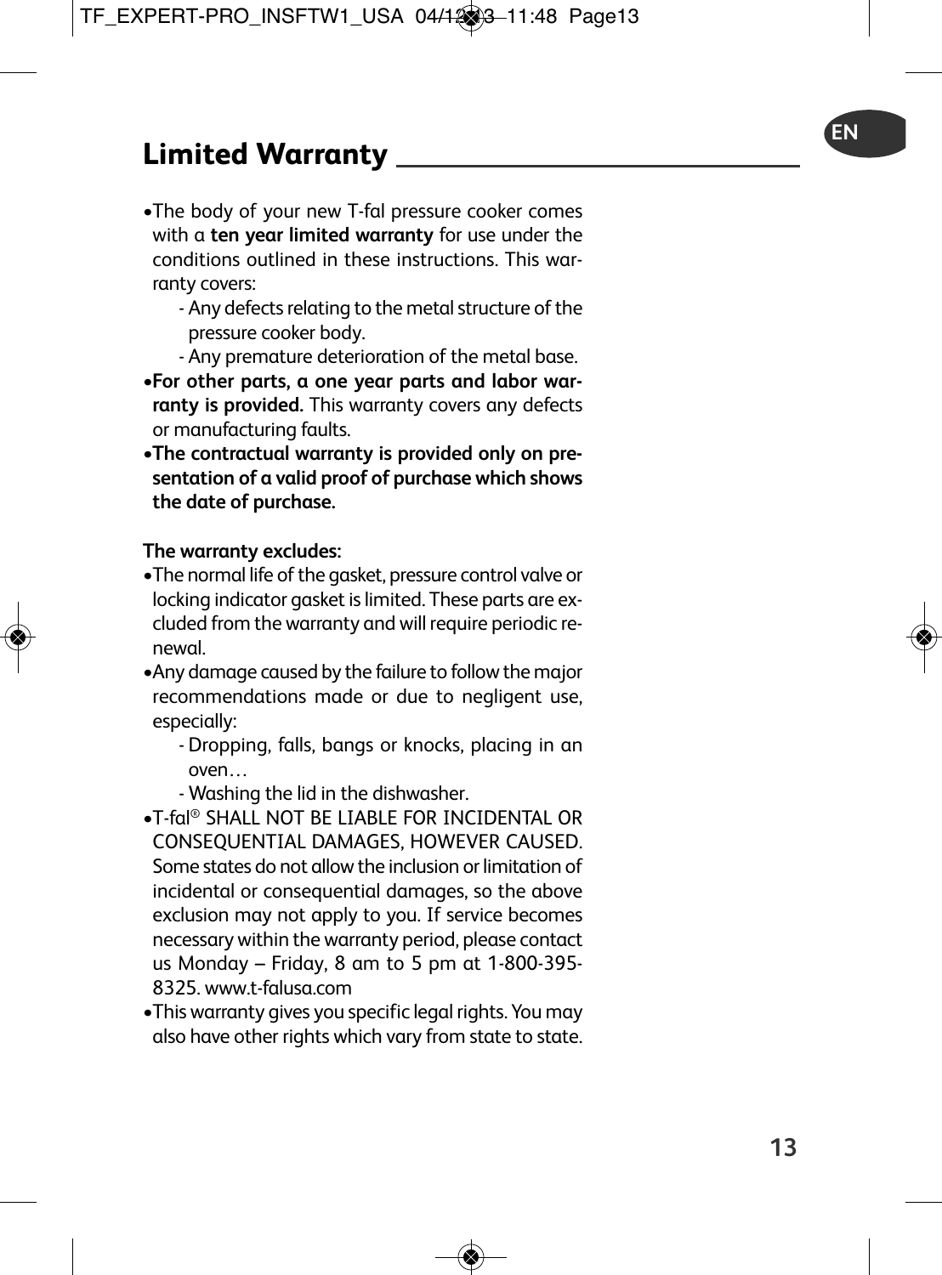- •The body of your new T-fal pressure cooker comes with a **ten year limited warranty** for use under the conditions outlined in these instructions. This warranty covers:
	- Any defects relating to the metal structure of the pressure cooker body.
	- Any premature deterioration of the metal base.
- •**For other parts, a one year parts and labor warranty is provided.** This warranty covers any defects or manufacturing faults.
- •**The contractual warranty is provided only on presentation of a valid proof of purchase which shows the date of purchase.**

#### **The warranty excludes:**

- •The normal life of the gasket, pressure control valve or locking indicator gasket is limited. These parts are excluded from the warranty and will require periodic renewal.
- •Any damage caused by the failure to followthe major recommendations made or due to negligent use, especially:
	- Dropping, falls, bangs or knocks, placing in an oven…
	- Washing the lid in the dishwasher.
- •T-fal ® SHALL NOT BE LIABLE FOR INCIDENTAL OR CONSEQUENTIAL DAMAGES, HOWEVER CAUSED. Some states do not allowthe inclusion or limitation of incidental or consequential damages, so the above exclusion may not apply to you. If service becomes necessary within the warranty period, please contact us Monday – Friday, 8 am to 5 pm at 1-800-395- 8325. www.t-falusa.com
- •Thiswarranty gives you specific legal rights. You may also have other rights which vary from state to state.

**EN**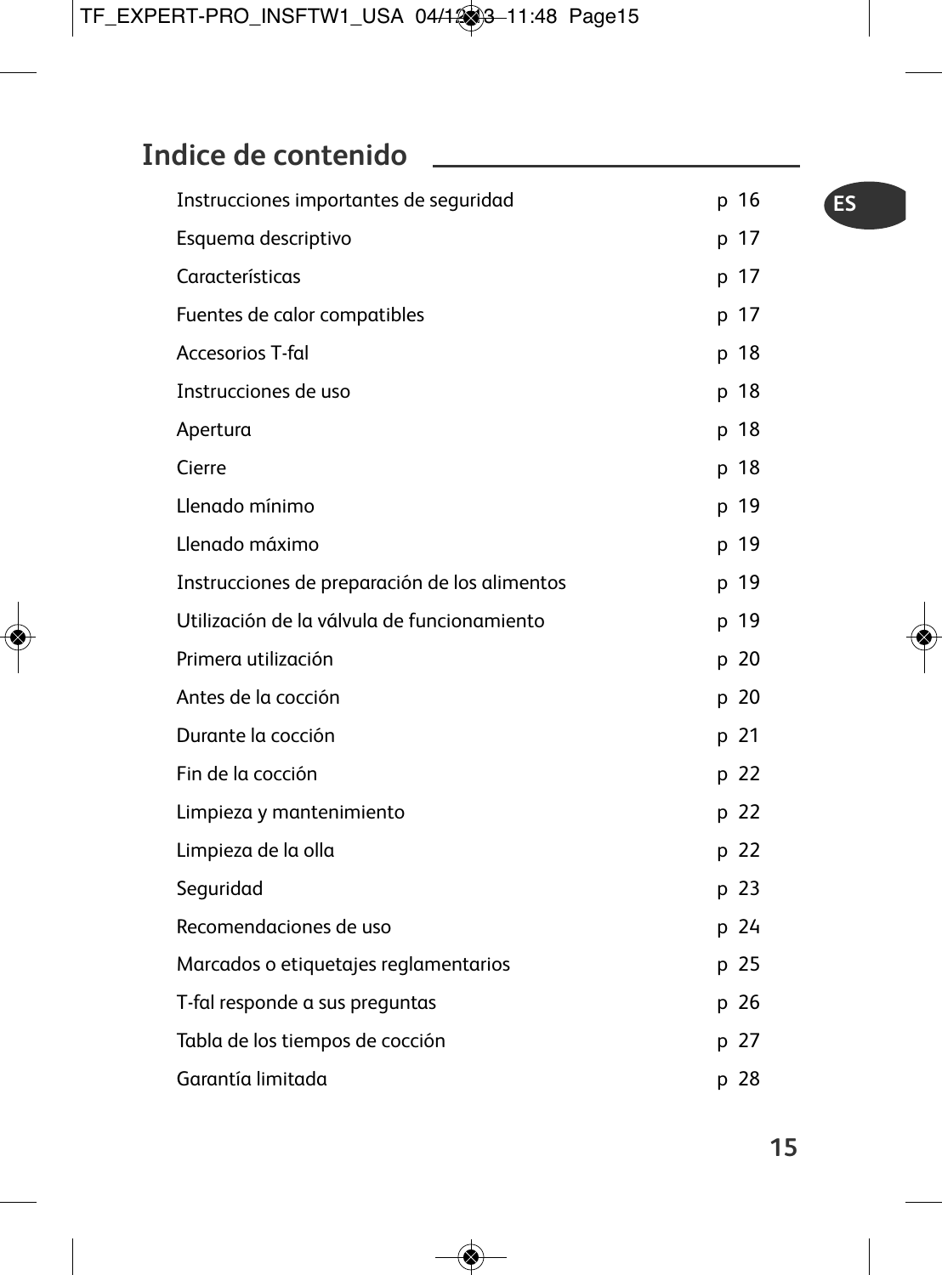# **Indice de contenido**

| Instrucciones importantes de seguridad        | p 16 |
|-----------------------------------------------|------|
| Esquema descriptivo                           | p 17 |
| Características                               | p 17 |
| Fuentes de calor compatibles                  | p 17 |
| Accesorios T-fal                              | p 18 |
| Instrucciones de uso                          | p 18 |
| Apertura                                      | p 18 |
| Cierre                                        | p 18 |
| Llenado mínimo                                | p 19 |
| Llenado máximo                                | p 19 |
| Instrucciones de preparación de los alimentos | p 19 |
| Utilización de la válvula de funcionamiento   | p 19 |
| Primera utilización                           | p 20 |
| Antes de la cocción                           | p 20 |
| Durante la cocción                            | p 21 |
| Fin de la cocción                             | p 22 |
| Limpieza y mantenimiento                      | p 22 |
| Limpieza de la olla                           | p 22 |
| Seguridad                                     | p 23 |
| Recomendaciones de uso                        | p 24 |
| Marcados o etiquetajes reglamentarios         | p 25 |
| T-fal responde a sus preguntas                | p 26 |
| Tabla de los tiempos de cocción               | p 27 |
| Garantía limitada                             | p 28 |

**ES**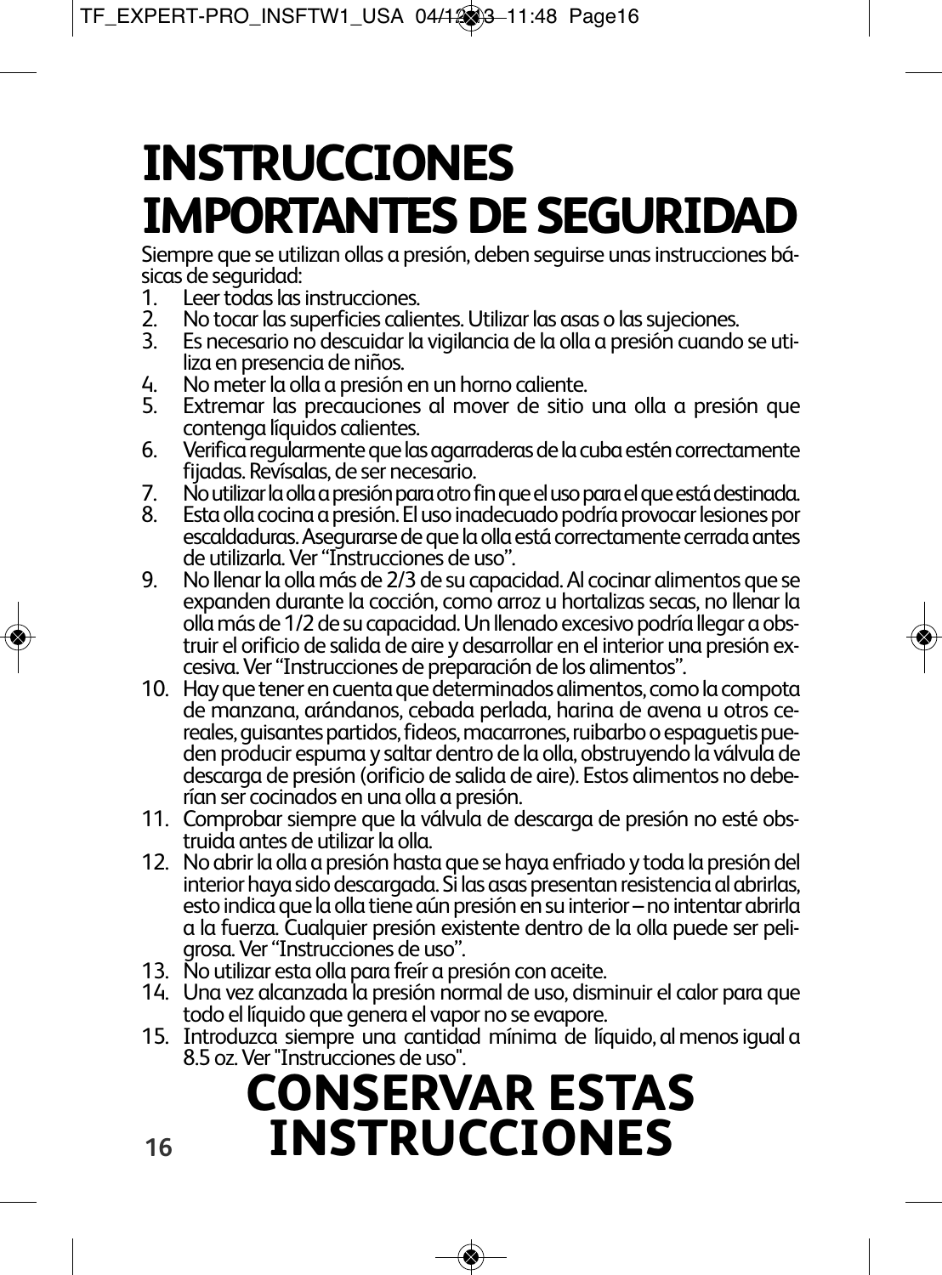# **INSTRUCCIONES IMPORTANTES DE SEGURIDAD**

Siempre que se utilizan ollas a presión, deben seguirse unas instrucciones bá-<br>sicas de seguridad:<br>1. Leer todas las instrucciones.

- 
- 
- 2. No tocar las superficies calientes. Utilizar las asas o las sujeciones.<br>
3. Es necesario no descuidar la vigilancia de la olla a presión cuando se utiliza en presencia de niños.<br>
4. No meter la olla a presión en un horn
- 
- 
- 6. Verifica regularmente que las agarraderas de la cuba estén correctamente<br>fiiadas. Revísalas. de ser necesario.
- 
- 7. No utilizar la olla a presión para otro fin que el uso para el que está destinada.<br>8. Esta olla cocina a presión. El uso inadecuado podría provocar lesiones por<br>escaldaduras. Asegurarse de que la olla está correctamente
- 9. No llenar la olla más de 2/3 de su capacidad. Al cocinar alimentos que se expanden durante la cocción, como arroz u hortalizas secas, no llenar la<br>olla más de 1/2 de su capacidad. Un llenado excesivo podría llegar a obstruir el orificio de salida de aire y desarrollar en el interior una presión excesiva. Ver "Instrucciones de preparación de los alimentos".<br>10. Hay que tener en cuenta que determinados alimentos, como la compota de manzana
- reales, guisantes partidos, fideos, macarrones, ruibarbo o espaguetis pue-<br>den producir espuma y saltar dentro de la olla, obstruyendo la válvula de<br>descaraa de presión (orificio de salida de aire). Estos alimentos no debe
- rían ser cocinados en una olla a presión.<br>11. Comprobar siempre que la válvula de descarga de presión no esté obstruída antes de utilizar la olla.<br>12. No abrir la olla a presión hasta que se haya enfriado y toda la presión
- esto indica que la olla tiene aún presión en su interior no intentar abrirla<br>a la fuerza. Cualaujer presión existente dentro de la olla puede ser peli-
- 
- grosa. Ver "Instrucciones de uso".<br>13. No utilizar esta olla para freír a presión con aceite.<br>14. Una vez alcanzada la presión normal de uso, disminuir el calor para que<br>todo el líquido que genera el vapor no se evapore.
- 15. Introduzca siempre una cantidad mínima de líquido, al menosiguala 8.5 oz.Ver"Instrucciones de uso".

# **CONSERVAR ESTAS INSTRUCCIONES**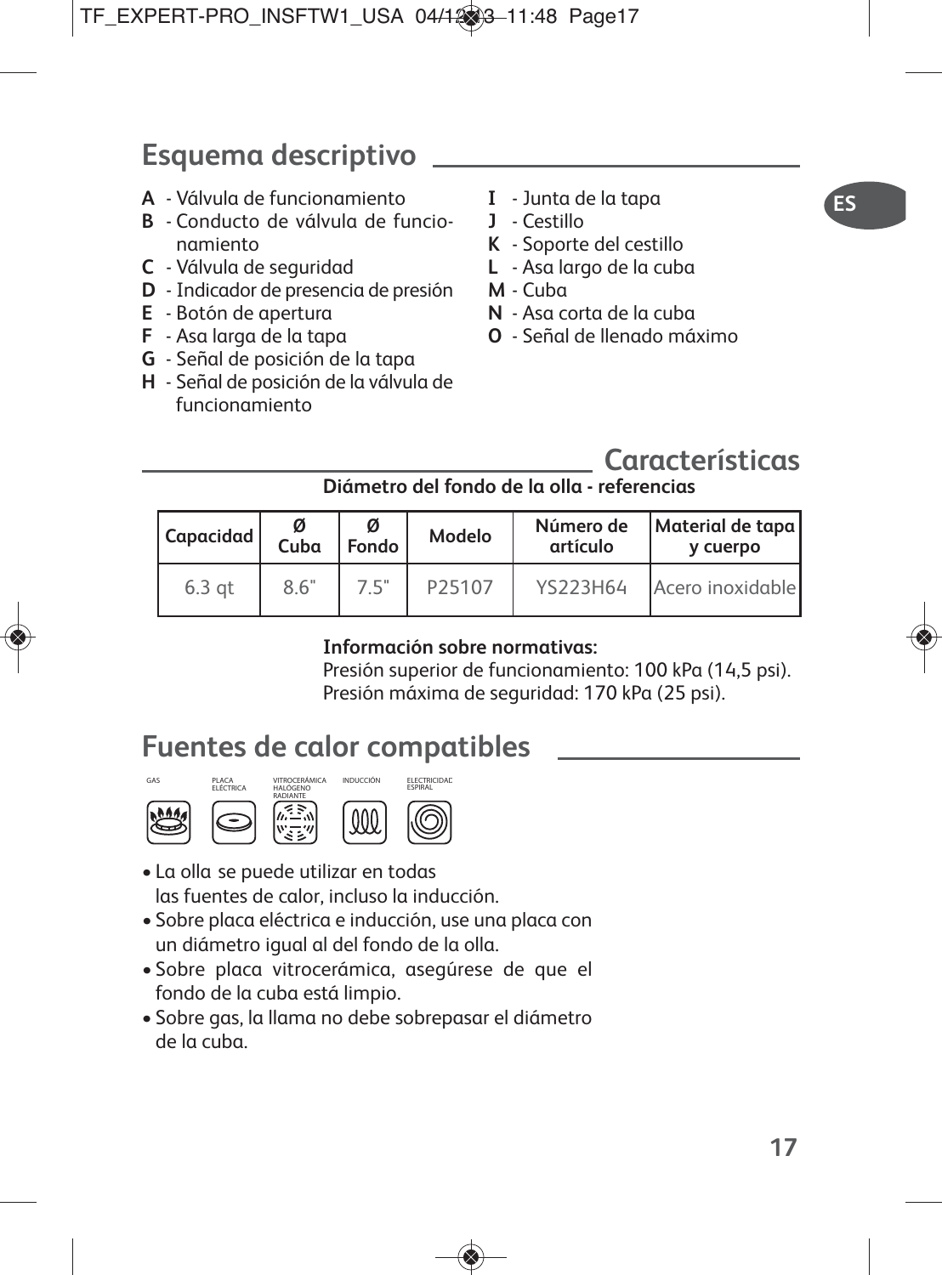# **Esquema descriptivo**

- **A** Válvula de funcionamiento
- **B** Conducto de válvula de funcionamiento
- **C** Válvula de seguridad
- **D** Indicador de presencia de presión
- **E** Botón de apertura
- **F** Asa larga de la tapa
- **G** Señal de posición de la tapa
- **H** Señal de posición de la válvula de funcionamiento
- **I** Junta de la tapa
- **J** Cestillo
- **K** Soporte del cestillo
- **L** Asa largo de la cuba
- **M** Cuba
- **N** Asa corta de la cuba
- **O** Señal de llenado máximo

## **Características**

## **Diámetro del fondo de la olla - referencias**

| Capacidad | ø<br>Cuba | ø<br>Fondo | Modelo | Número de<br>artículo | Material de tapa<br>v cuerpo |
|-----------|-----------|------------|--------|-----------------------|------------------------------|
| $6.3$ at  | 8.6"      | 7.5"       | P25107 | YS223H64              | Acero inoxidable             |

## **Información sobre normativas:**

Presión superior de funcionamiento: 100 kPa (14,5 psi). Presión máxima de seguridad: 170 kPa (25 psi).

## **Fuentes de calor compatibles**







- La olla se puede utilizar en todas las fuentes de calor, incluso la inducción.
- Sobre placa eléctrica e inducción, use una placa con un diámetro igual al del fondo de la olla.
- Sobre placa vitrocerámica, asegúrese de que el fondo de la cuba está limpio.
- Sobre gas, la llama no debe sobrepasar el diámetro de la cuba.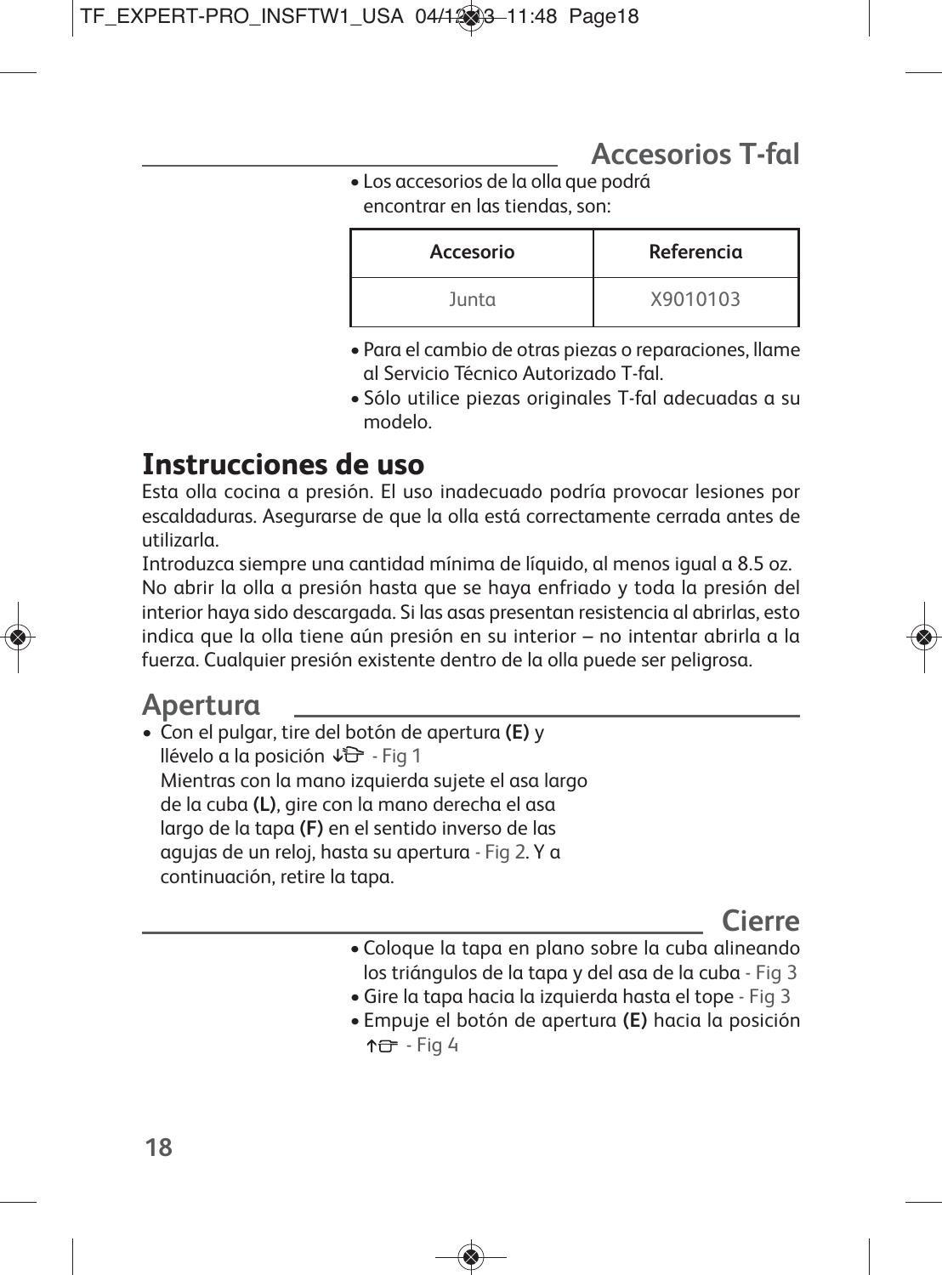• Los accesorios de la olla que podrá encontrar en las tiendas, son:

| Accesorio | Referencia |
|-----------|------------|
| Junta     | X9010103   |

- Para el cambio de otras piezas o reparaciones, llame al Servicio Técnico Autorizado T-fal.
- Sólo utilice piezas originales T-fal adecuadas a su modelo.

# **Instrucciones de uso**

Esta olla cocina a presión. El uso inadecuado podría provocar lesiones por escaldaduras. Asegurarse de que la olla está correctamente cerrada antes de utilizarla.

Introduzca siempre una cantidad mínima de líquido, al menos igual a 8.5 oz. No abrir la olla a presión hasta que se haya enfriado y toda la presión del interior haya sido descargada. Si las asas presentan resistencia al abrirlas, esto indica que la olla tiene aún presión en su interior – no intentar abrirla a la fuerza. Cualquier presión existente dentro de la olla puede ser peligrosa.

# **Apertura**

• Con el pulgar, tire del botón de apertura **(E)** y llévelo a la posición  $\sqrt{2}$  - Fig 1 Mientras con la mano izquierda sujete el asa largo de la cuba **(L)**, gire con la mano derecha el asa largo de la tapa **(F)** en el sentido inverso de las agujas de un reloj, hasta su apertura - Fig 2. Y a continuación, retire la tapa.

# **Cierre**

- Coloque la tapa en plano sobre la cuba alineando los triángulos de la tapa y del asa de la cuba - Fig 3
- •Gire la tapa hacia la izquierda hasta el tope Fig 3
- Empuje el botón de apertura **(E)** hacia la posición 10 - Fig 4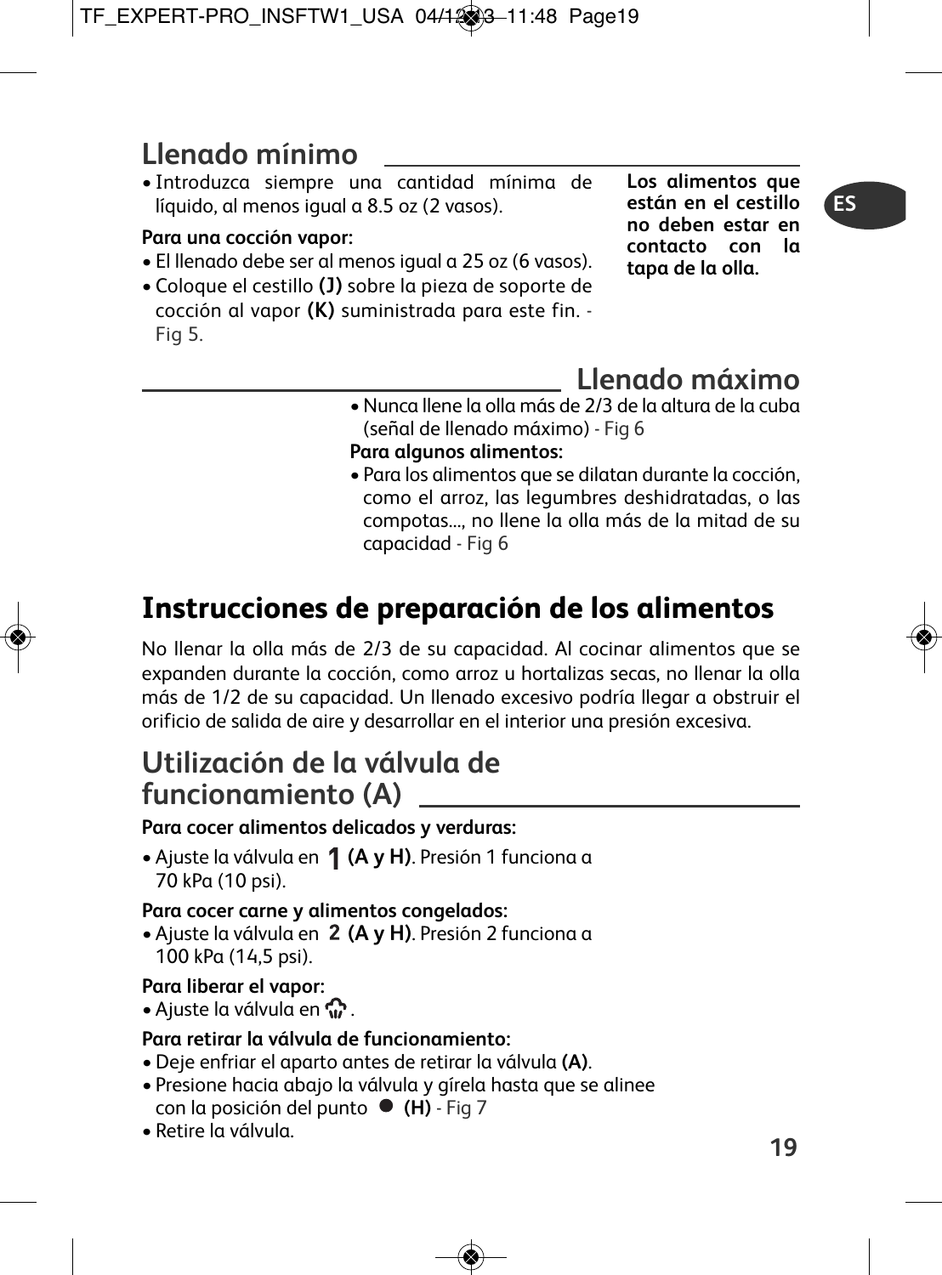# **Llenado mínimo**

• Introduzca siempre una cantidad mínima de líquido, al menos igual a 8.5 oz (2 vasos).

## **Para una cocción vapor:**

- El llenado debe ser al menos igual a 25 oz (6 vasos).
- Coloque el cestillo **(J)** sobre la pieza de soporte de cocción al vapor **(K)** suministrada para este fin. - Fig 5.

**Los alimentos que están en el cestillo no deben estar en contacto con la tapa de la olla.**

# **Llenado máximo**

- •Nunca llene la olla más de 2/3 de la altura de la cuba (señal de llenado máximo) - Fig 6
- **Para algunos alimentos:**
- Para los alimentos que se dilatan durante la cocción, como el arroz, las legumbres deshidratadas, o las compotas..., no llene la olla más de la mitad de su capacidad - Fig 6

# **Instrucciones de preparación de los alimentos**

No llenar la olla más de 2/3 de su capacidad. Al cocinar alimentos que se expanden durante la cocción, como arroz u hortalizas secas, no llenar la olla más de 1/2 de su capacidad. Un llenado excesivo podría llegar a obstruir el orificio de salida de aire y desarrollar en el interior una presión excesiva.

## **Utilización de la válvula de funcionamiento (A)**

## **Para cocer alimentos delicados y verduras:**

• Ajuste la válvula en **(A y H)**. Presión 1 funciona a 70 kPa (10 psi).

## **Para cocer carne y alimentos congelados:**

• Ajuste la válvula en **(A y H)**. Presión 2 funciona a 100 kPa (14,5 psi).

## **Para liberar el vapor:**

• Ajuste la válvula en  $\mathbb{C}$ .

## **Para retirar la válvula de funcionamiento:**

- Deje enfriar el aparto antes de retirar la válvula **(A)**.
- Presione hacia abajo la válvula y gírela hasta que se alinee con la posición del punto  $\bullet$  (H) - Fig 7
- Retire la válvula.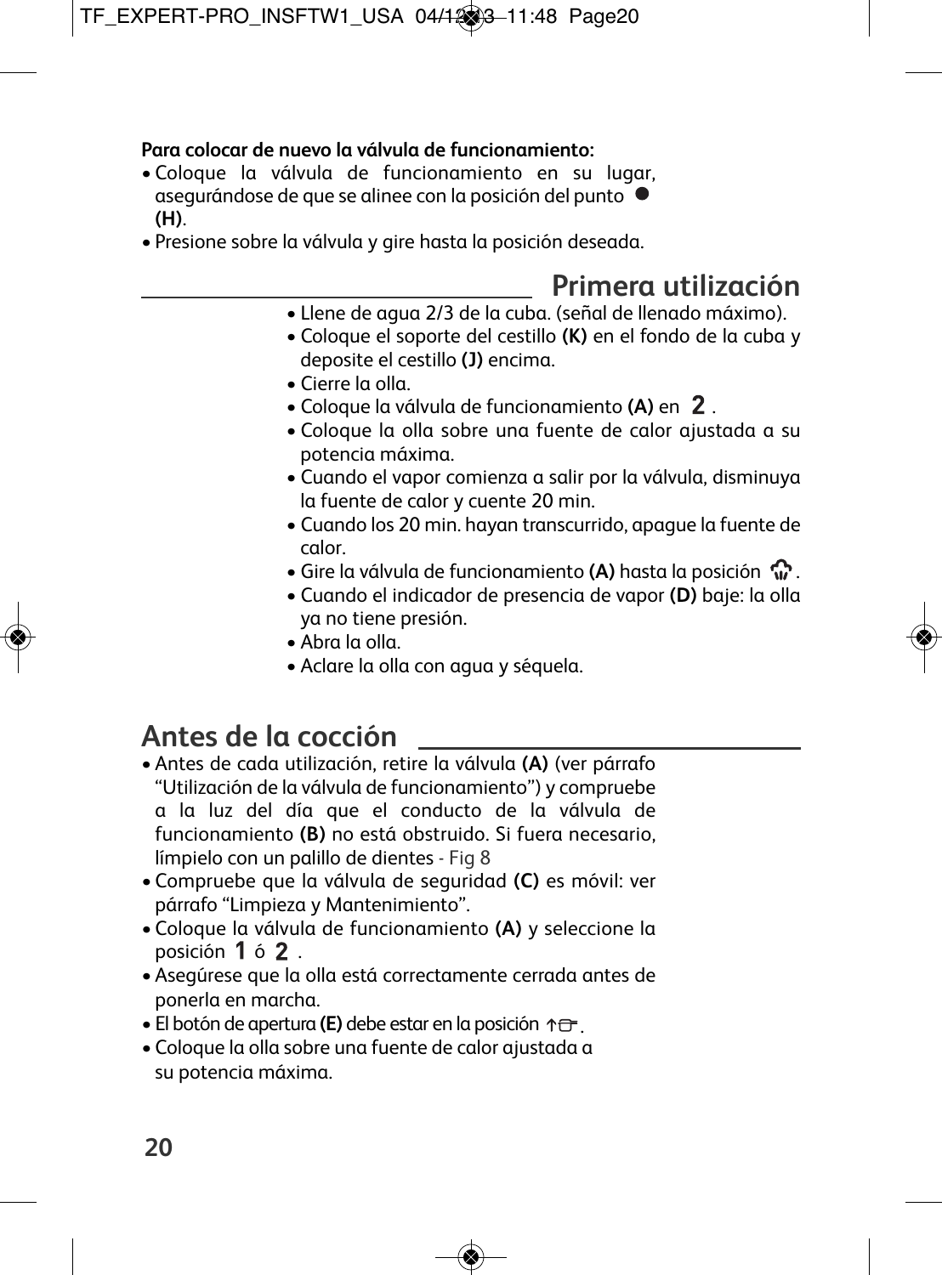## **Para colocar de nuevo la válvula de funcionamiento:**

- Coloque la válvula de funcionamiento en su lugar, asegurándose de que se alinee con la posición del punto **(H)**.
- Presione sobre la válvula y gire hasta la posición deseada.

# **Primera utilización**

- Llene de agua 2/3 de la cuba. (señal de llenado máximo).
- Coloque el soporte del cestillo **(K)** en el fondo de la cuba y deposite el cestillo **(J)** encima.
- Cierre la olla.
- Coloque la válvula de funcionamiento **(A)** en .
- Coloque la olla sobre una fuente de calor ajustada a su potencia máxima.
- Cuando el vapor comienza a salir por la válvula, disminuya la fuente de calor y cuente 20 min.
- Cuando los 20 min. hayan transcurrido, apague la fuente de calor.
- Gire la válvula de funcionamiento **(A)** hasta la posición .
- Cuando el indicador de presencia de vapor **(D)** baje: la olla ya no tiene presión.
- Abra la olla.
- Aclare la olla con agua y séquela.

# **Antes de la cocción**

- Antes de cada utilización, retire la válvula **(A)** (ver párrafo "Utilización de la válvula de funcionamiento") y compruebe a la luz del día que el conducto de la válvula de funcionamiento **(B)** no está obstruido. Si fuera necesario, límpielo con un palillo de dientes - Fig 8
- Compruebe que la válvula de seguridad **(C)** es móvil: ver párrafo "Limpieza y Mantenimiento".
- Coloque la válvula de funcionamiento **(A)** y seleccione la posición 1 ó 2.
- Asegúrese que la olla está correctamente cerrada antes de ponerla en marcha.
- $\bullet$  El botón de apertura (**E**) debe estar en la posición  $\uparrow \leftarrow$ .
- Coloque la olla sobre una fuente de calor ajustada a su potencia máxima.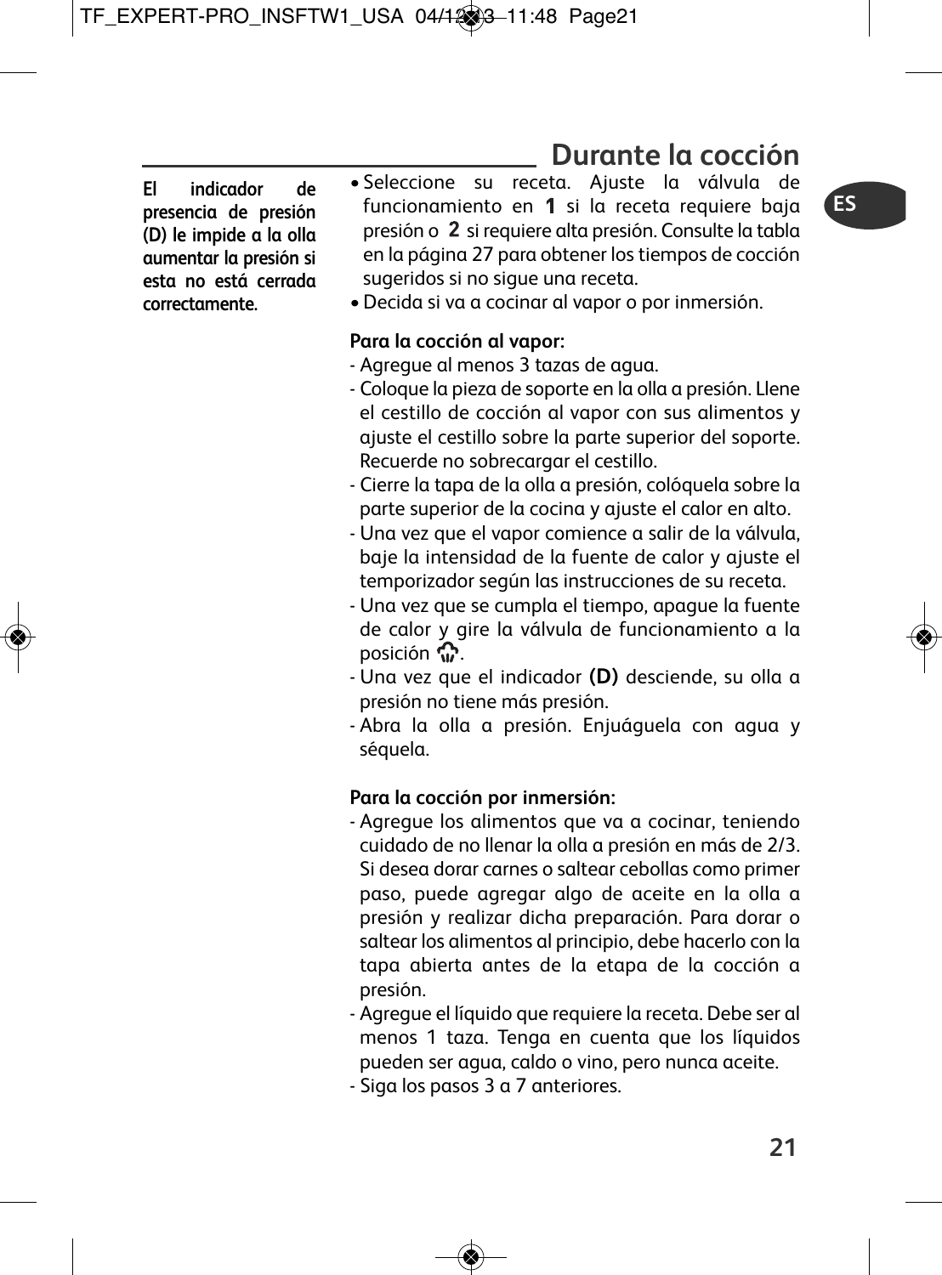## **Durante la cocción**

**El indicador de presencia de presión (D) le impide a la olla aumentar la presión si esta no está cerrada correctamente.**

- Seleccione su receta. Ajuste la válvula de funcionamiento en  $1$  si la receta requiere baja presión o 2 si requiere alta presión. Consulte la tabla en la página 27 para obtener los tiempos de cocción sugeridos si no sigue una receta.
	- •Decida si va a cocinar al vapor o por inmersión.

#### **Para la cocción al vapor:**

- Agregue al menos 3 tazas de agua.
- Coloque la pieza de soporte en la olla a presión. Llene el cestillo de cocción al vapor con sus alimentos y ajuste el cestillo sobre la parte superior del soporte. Recuerde no sobrecargar el cestillo.
- Cierre la tapa de la olla a presión, colóquela sobre la parte superior de la cocina y ajuste el calor en alto.
- Una vez que el vapor comience a salir de la válvula, baje la intensidad de la fuente de calor y ajuste el temporizador según las instrucciones de su receta.
- Una vez que se cumpla el tiempo, apague la fuente de calor y gire la válvula de funcionamiento a la posición  $\mathbb{C}$ .
- Una vez que el indicador **(D)** desciende, su olla a presión no tiene más presión.
- Abra la olla a presión. Enjuáguela con agua y séquela.

### **Para la cocción por inmersión:**

- Agregue los alimentos que va a cocinar, teniendo cuidado de no llenar la olla a presión en más de 2/3. Si desea dorar carnes o saltear cebollas como primer paso, puede agregar algo de aceite en la olla a presión y realizar dicha preparación. Para dorar o saltear los alimentos al principio, debe hacerlo con la tapa abierta antes de la etapa de la cocción a presión.
- Agregue el líquido que requiere la receta. Debe ser al menos 1 taza. Tenga en cuenta que los líquidos pueden ser agua, caldo o vino, pero nunca aceite.
- Siga los pasos 3 a 7 anteriores.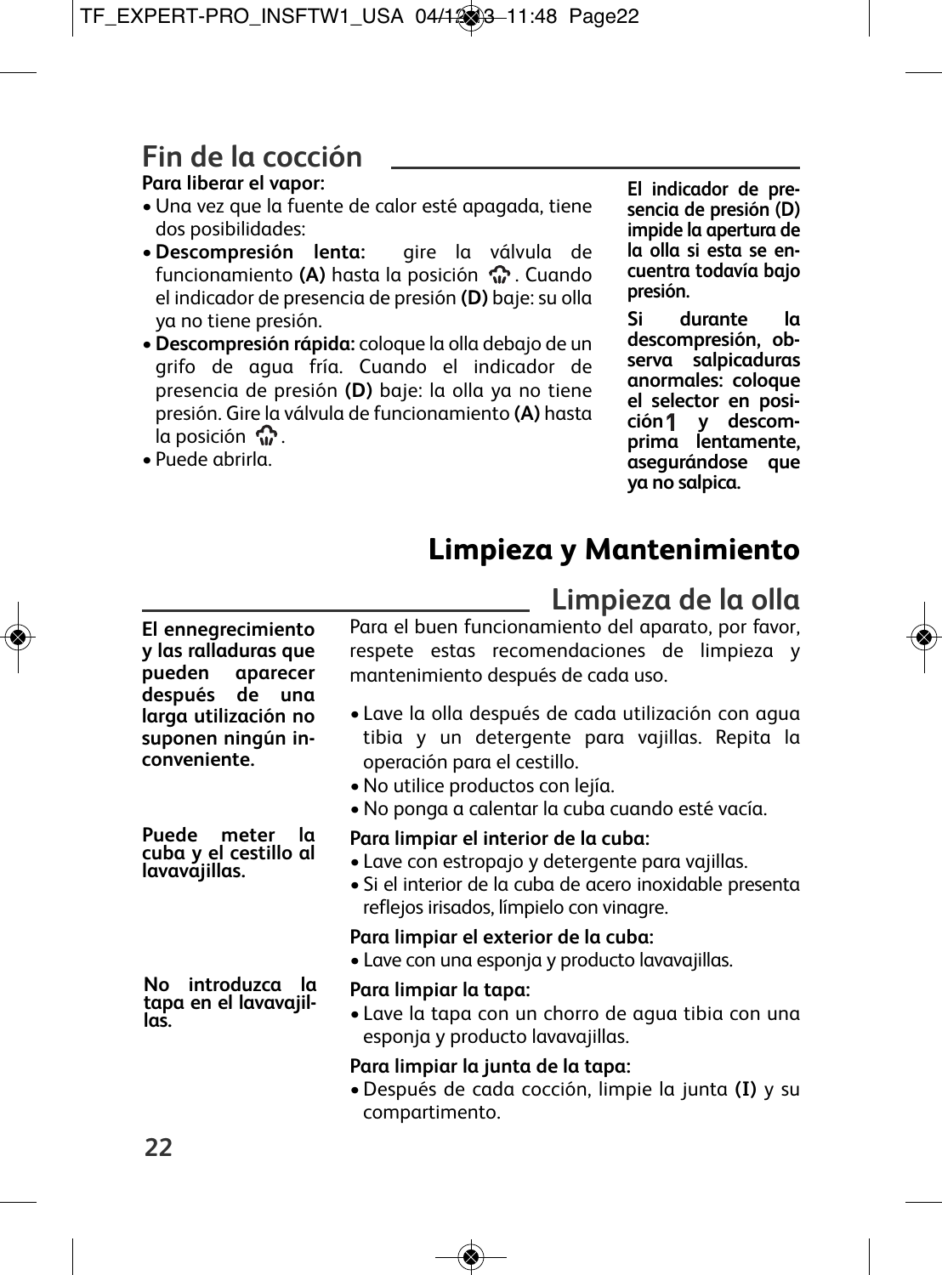# **Fin de la cocción**

## **Para liberar el vapor:**

- •Una vez que la fuente de calor esté apagada, tiene dos posibilidades:
- •**Descompresión lenta:** gire la válvula de funcionamiento **(A)** hasta la posición  $\mathbb{C}$ . Cuando el indicador de presencia de presión **(D)** baje: su olla ya no tiene presión.
- •**Descompresión rápida:** coloque la olla debajo de un grifo de agua fría. Cuando el indicador de presencia de presión **(D)** baje: la olla ya no tiene presión. Gire la válvula de funcionamiento **(A)** hasta  $\ln$  posición  $\mathbb{C}$ .
- Puede abrirla.

**El indicador de presencia de presión (D) impide la apertura de la olla si esta se encuentra todavía bajo presión.**

**Si durante la descompresión, observa salpicaduras anormales: coloque el selector en posición y descomprima lentamente, asegurándose que ya no salpica.**

# **Limpieza y Mantenimiento**

**Limpieza de la olla**

#### **El ennegrecimiento y las ralladuras que pueden aparecer después de una larga utilización no suponen ningún inconveniente.**

**Puede meter la cuba <sup>y</sup> el cestillo al lavavajillas.**

**No introduzca la tapa en el lavavajil- las.**

Para el buen funcionamiento del aparato, por favor, respete estas recomendaciones de limpieza y mantenimiento después de cada uso.

- Lave la olla después de cada utilización con agua tibia y un detergente para vajillas. Repita la operación para el cestillo.
- •No utilice productos con lejía.
- •No ponga a calentar la cuba cuando esté vacía.

### **Para limpiar el interior de la cuba:**

- Lave con estropajo y detergente para vajillas.
- Si el interior de la cuba de acero inoxidable presenta reflejos irisados, límpielo con vinagre.

## **Para limpiar el exterior de la cuba:**

- Lave con una esponja y producto lavavajillas.
- **Para limpiar la tapa:**
- Lave la tapa con un chorro de agua tibia con una esponja y producto lavavajillas.

## **Para limpiar la junta de la tapa:**

•Después de cada cocción, limpie la junta **(I)** y su compartimento.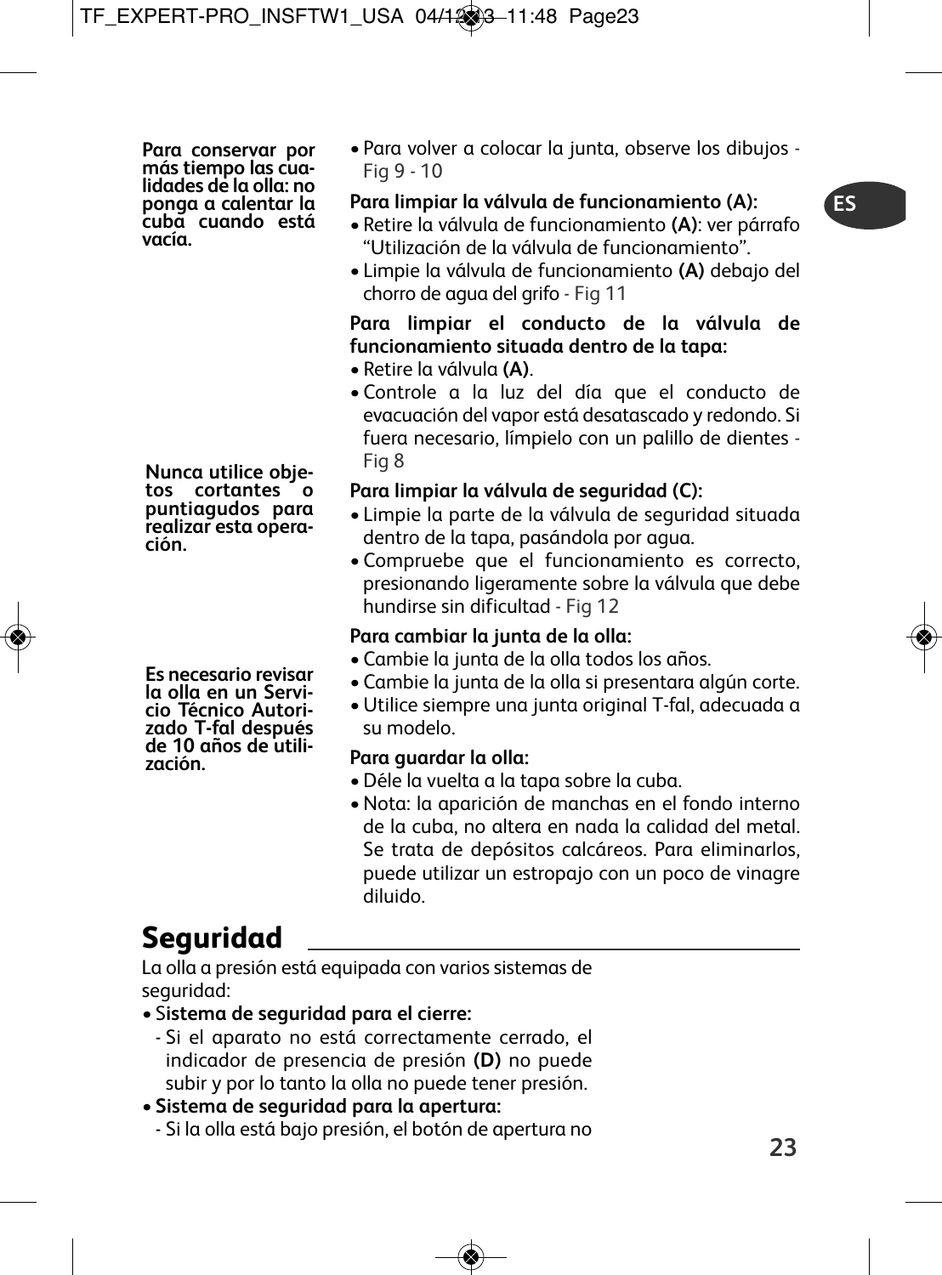**ES**

Para conservar por<br>más tiempo las cualidades de la olla: no<br>ponga a calentar la<br>cuaba cuando está<br>vacía

**Nunca utilice obje- tos cortantes <sup>o</sup> puntiagudos para realizar esta opera- ción.**

Es necesario revisar<br>la olla en un Servicio Técnico Autorizado<br>T-fal después<br>de 10 años de utili-<br>zación

• Para volver a colocar la junta, observe los dibujos - Fig 9 - 10

### **Para limpiar la válvula de funcionamiento (A):**

- Retire la válvula de funcionamiento **(A)**: ver párrafo "Utilización de la válvula de funcionamiento".
- Limpie la válvula de funcionamiento **(A)** debajo del chorro de agua del grifo - Fig 11

## **Para limpiar el conducto de la válvula de funcionamiento situada dentro de la tapa:**

- Retire la válvula **(A)**.
- Controle a la luz del día que el conducto de evacuación del vapor está desatascado y redondo. Si fuera necesario, límpielo con un palillo de dientes - Fig 8

## **Para limpiar la válvula de seguridad (C):**

- Limpie la parte de la válvula de seguridad situada dentro de la tapa, pasándola por agua.
- Compruebe que el funcionamiento es correcto, presionando ligeramente sobre la válvula que debe hundirse sin dificultad - Fig 12

## **Para cambiar la junta de la olla:**

- Cambie la junta de la olla todos los años.
- Cambie la junta de la olla si presentara algún corte.
- •Utilice siempre una junta original T-fal, adecuada a su modelo.

## **Para guardar la olla:**

- •Déle la vuelta a la tapa sobre la cuba.
- •Nota: la aparición de manchas en el fondo interno de la cuba, no altera en nada la calidad del metal. Se trata de depósitos calcáreos. Para eliminarlos, puede utilizar un estropajo con un poco de vinagre diluido.

# **Seguridad**

La olla a presión está equipada con varios sistemas de seguridad:

- S**istema de seguridad para el cierre:**
	- Si el aparato no está correctamente cerrado, el indicador de presencia de presión **(D)** no puede subir y por lo tanto la olla no puede tener presión.
- **Sistema de seguridad para la apertura:**
	- Si la olla está bajo presión, el botón de apertura no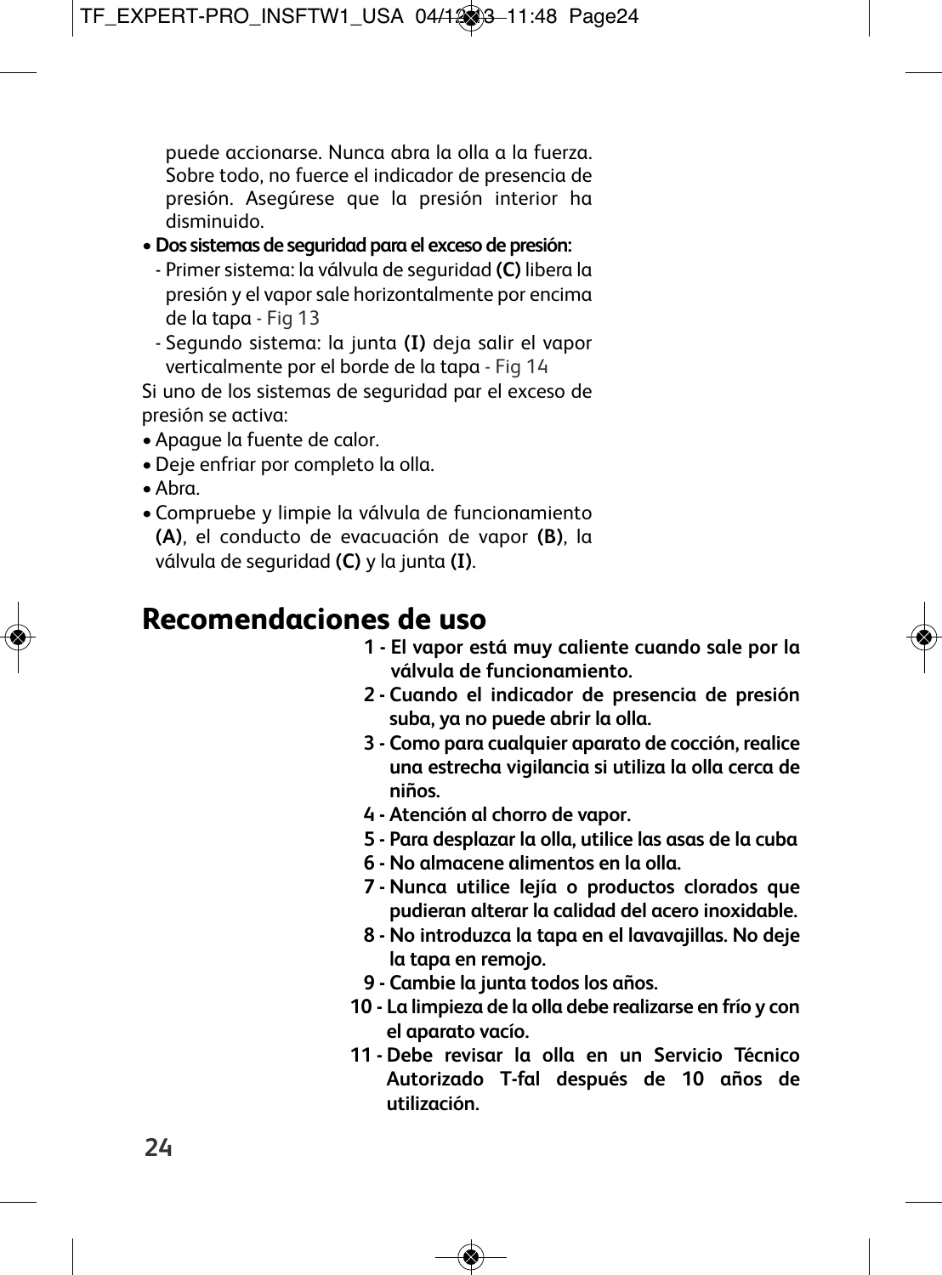puede accionarse. Nunca abra la olla a la fuerza. Sobre todo, no fuerce el indicador de presencia de presión. Asegúrese que la presión interior ha disminuido.

- •**Dos sistemas de seguridad para el exceso de presión:**
	- Primer sistema: la válvula de seguridad **(C)** libera la presión y el vaporsale horizontalmente por encima de la tapa - Fig 13
	- Segundo sistema: la junta **(I)** deja salir el vapor verticalmente por el borde de la tapa - Fig 14

Si uno de los sistemas de seguridad par el exceso de presión se activa:

- Apague la fuente de calor.
- •Deje enfriar por completo la olla.
- Abra.
- Compruebe y limpie la válvula de funcionamiento **(A)**, el conducto de evacuación de vapor **(B)**, la válvula de seguridad **(C)** y la junta **(I)**.

## **Recomendaciones de uso**

- **1 - El vapor está muy caliente cuando sale por la válvula de funcionamiento.**
- **2 - Cuando el indicador de presencia de presión suba, ya no puede abrir la olla.**
- **3 - Como para cualquier aparato de cocción, realice una estrecha vigilancia si utiliza la olla cerca de niños.**
- **4 - Atención al chorro de vapor.**
- **5 - Para desplazar la olla, utilice las asas de la cuba**
- **6 - No almacene alimentos en la olla.**
- **7 - Nunca utilice lejía o productos clorados que pudieran alterar la calidad del acero inoxidable.**
- **8 - No introduzca la tapa en el lavavajillas. No deje la tapa en remojo.**
- **9 - Cambie la junta todos los años.**
- **10 - La limpieza de la olla debe realizarse en frío y con el aparato vacío.**
- **11 - Debe revisar la olla en un Servicio Técnico Autorizado T-fal después de 10 años de utilización.**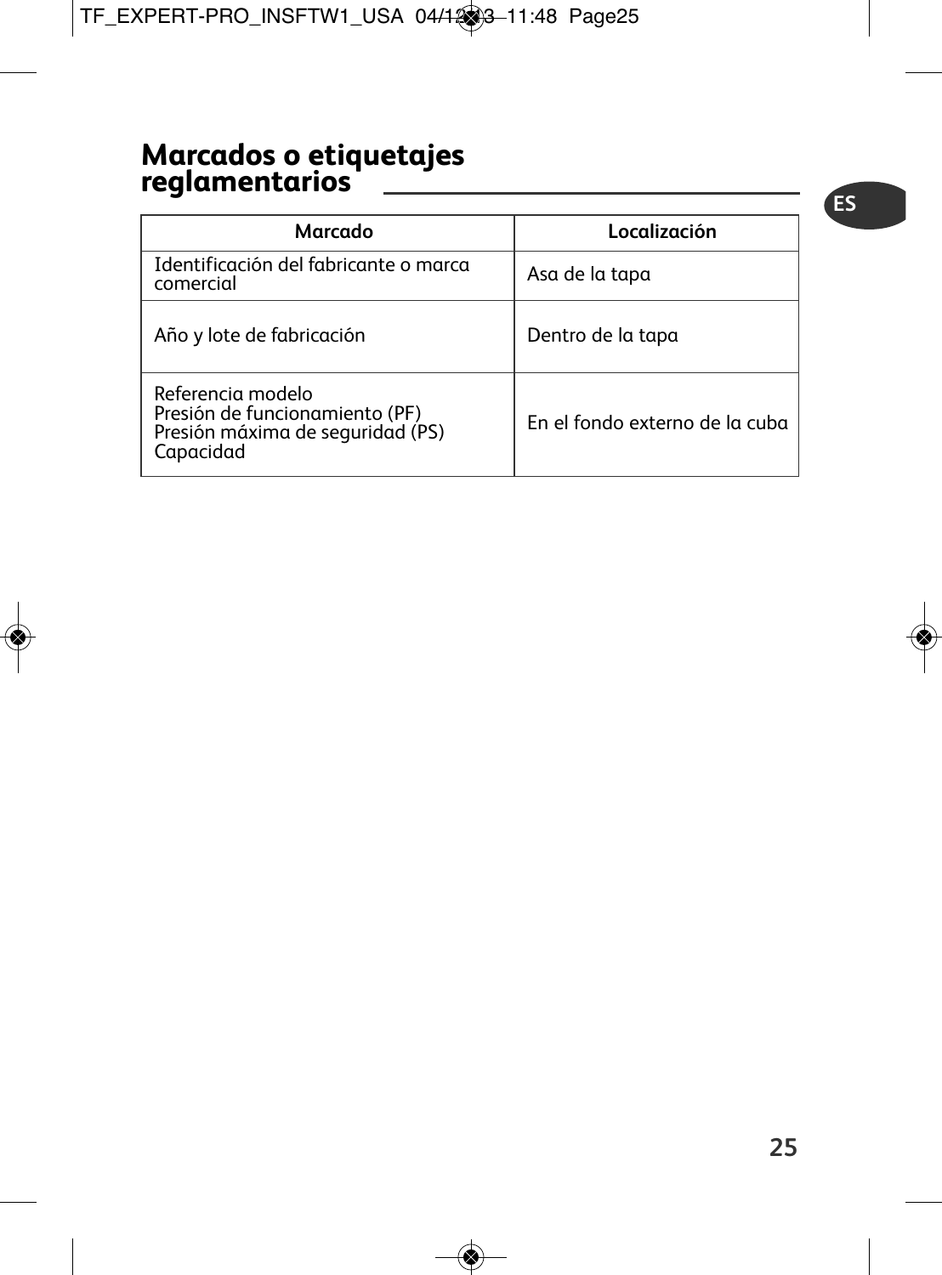## **Marcados o etiquetajes reglamentarios**

| Marcado                                                                                              | Localización                   |
|------------------------------------------------------------------------------------------------------|--------------------------------|
| Identificación del fabricante o marca<br>comercial                                                   | Asa de la tapa                 |
| Año y lote de fabricación                                                                            | Dentro de la tapa              |
| Referencia modelo<br>Presión de funcionamiento (PF)<br>Presión máxima de seguridad (PS)<br>Capacidad | En el fondo externo de la cuba |

**ES**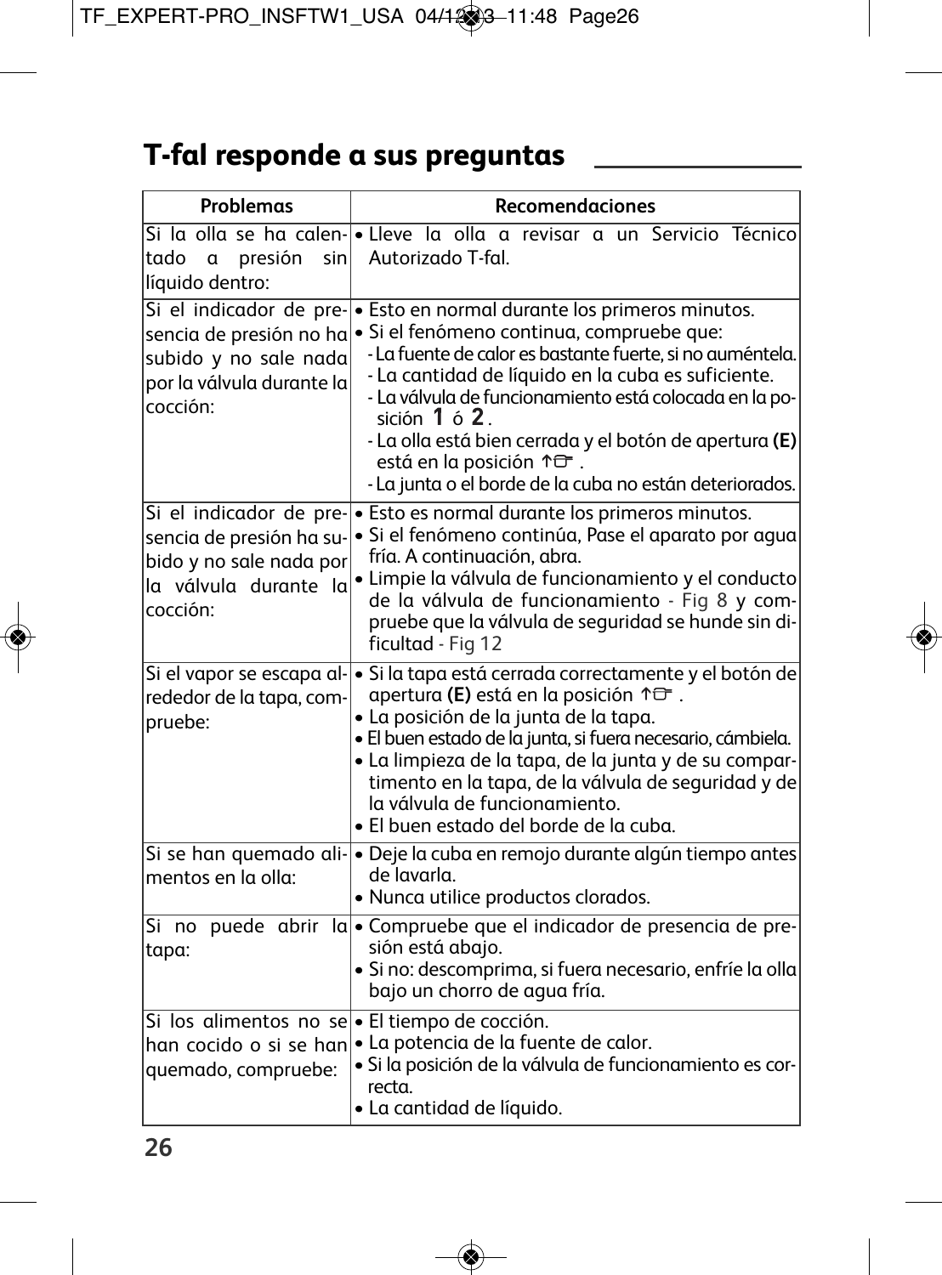# **T-fal responde a sus preguntas**

| Problemas                                                                                                            | Recomendaciones                                                                                                                                                                                                                                                                                                                                                                                                                                                     |
|----------------------------------------------------------------------------------------------------------------------|---------------------------------------------------------------------------------------------------------------------------------------------------------------------------------------------------------------------------------------------------------------------------------------------------------------------------------------------------------------------------------------------------------------------------------------------------------------------|
| tado a<br>presión<br>sinl<br>líquido dentro:                                                                         | Si la olla se ha calen-e Lleve la olla a revisar a un Servicio Técnico<br>Autorizado T-fal.                                                                                                                                                                                                                                                                                                                                                                         |
| Si el indicador de pre-<br>sencia de presión no ha<br>subido y no sale nada<br>por la válvula durante la<br>cocción: | · Esto en normal durante los primeros minutos.<br>· Si el fenómeno continua, compruebe que:<br>- La fuente de calor es bastante fuerte, si no auméntela.<br>- La cantidad de líquido en la cuba es suficiente.<br>- La válvula de funcionamiento está colocada en la po-<br>sición $1$ ó $2$ .<br>- La olla está bien cerrada y el botón de apertura (E)<br>está en la posición $\uparrow \rightarrow$ .<br>- La junta o el borde de la cuba no están deteriorados. |
| sencia de presión ha su-<br>bido y no sale nada por<br>la válvula durante la<br>cocción:                             | Si el indicador de pre- $\cdot$ Esto es normal durante los primeros minutos.<br>· Si el fenómeno continúa, Pase el aparato por aqua<br>fría. A continuación, abra.<br>· Limpie la válvula de funcionamiento y el conducto<br>de la válvula de funcionamiento - Fig 8 y com-<br>pruebe que la válvula de seguridad se hunde sin di-<br>ficultad - Fig 12                                                                                                             |
| Si el vapor se escapa al-<br>rededor de la tapa, com-<br>pruebe:                                                     | $\cdot$ Si la tapa está cerrada correctamente y el botón de<br>apertura (E) está en la posición $\uparrow \exists^{-}$ .<br>· La posición de la junta de la tapa.<br>· El buen estado de la junta, si fuera necesario, cámbiela.<br>• La limpieza de la tapa, de la junta y de su compar-<br>timento en la tapa, de la válvula de seguridad y de<br>la válvula de funcionamiento.<br>• El buen estado del borde de la cuba.                                         |
| mentos en la olla:                                                                                                   | Si se han quemado ali- · Deje la cuba en remojo durante algún tiempo antes<br>de lavarla.<br>· Nunca utilice productos clorados.                                                                                                                                                                                                                                                                                                                                    |
| Si no puede abrir<br>tapa:                                                                                           | la • Compruebe que el indicador de presencia de pre-<br>sión está abajo.<br>· Si no: descomprima, si fuera necesario, enfríe la olla<br>bajo un chorro de aqua fría.                                                                                                                                                                                                                                                                                                |
| Si los alimentos no se · El tiempo de cocción.<br>han cocido o si se han<br>quemado, compruebe:                      | · La potencia de la fuente de calor.<br>· Si la posición de la válvula de funcionamiento es cor-<br>recta.<br>• La cantidad de líquido.                                                                                                                                                                                                                                                                                                                             |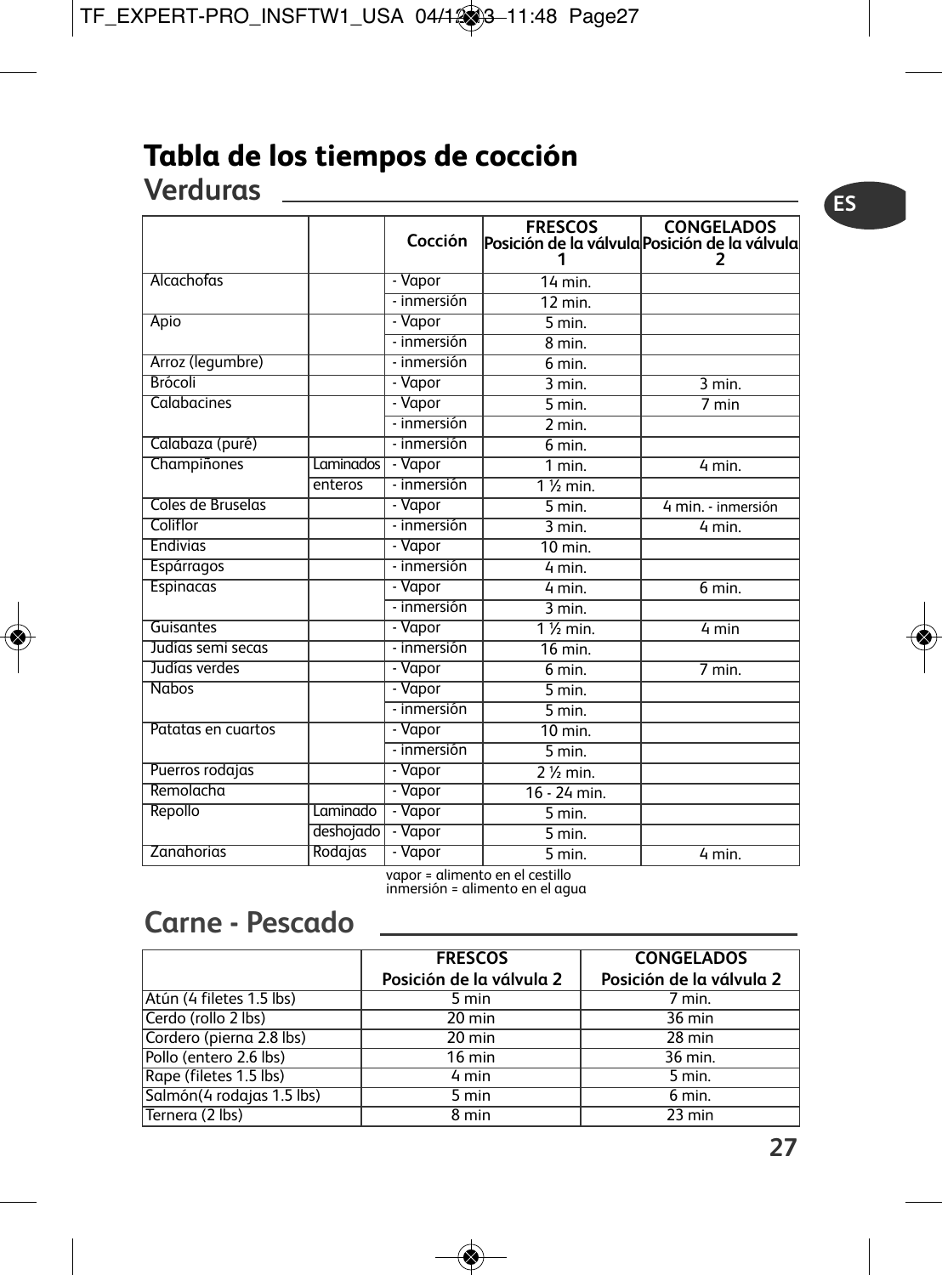## **Tabla de los tiempos de cocción Verduras**

|                    |             | Cocción     | <b>FRESCOS</b>       | <b>CONGELADOS</b><br>Posición de la válvula Posición de la válvula<br>7 |
|--------------------|-------------|-------------|----------------------|-------------------------------------------------------------------------|
| Alcachofas         |             | - Vapor     | $14$ min.            |                                                                         |
|                    |             | - inmersión | $\overline{12}$ min. |                                                                         |
| Apio               |             | - Vapor     | $5 \text{ min}$ .    |                                                                         |
|                    |             | - inmersión | 8 min.               |                                                                         |
| Arroz (legumbre)   |             | - inmersión | 6 min.               |                                                                         |
| <b>Brócoli</b>     |             | - Vapor     | $3$ min.             | $\overline{3}$ min.                                                     |
| Calabacines        |             | - Vapor     | 5 min.               | 7 min                                                                   |
|                    |             | - inmersión | 2 min.               |                                                                         |
| Calabaza (puré)    |             | - inmersión | 6 min.               |                                                                         |
| Champiñones        | Laminados I | - Vapor     | 1 min.               | 4 min.                                                                  |
|                    | enteros     | - inmersión | $1\%$ min.           |                                                                         |
| Coles de Bruselas  |             | - Vapor     | $5 \text{ min}$ .    | 4 min. - inmersión                                                      |
| Coliflor           |             | - inmersión | $3$ min.             | 4 min.                                                                  |
| <b>Endivias</b>    |             | - Vapor     | $10$ min.            |                                                                         |
| Espárragos         |             | - inmersión | 4 min.               |                                                                         |
| Espinacas          |             | - Vapor     | 4 min.               | $6 \text{ min}$ .                                                       |
|                    |             | - inmersión | $3$ min.             |                                                                         |
| Guisantes          |             | - Vapor     | $1\%$ min.           | 4 min                                                                   |
| Judías semi secas  |             | - inmersión | $16$ min.            |                                                                         |
| Judías verdes      |             | - Vapor     | $6$ min.             | 7 min.                                                                  |
| <b>Nabos</b>       |             | - Vapor     | 5 min.               |                                                                         |
|                    |             | - inmersión | $\overline{5}$ min.  |                                                                         |
| Patatas en cuartos |             | - Vapor     | $10$ min.            |                                                                         |
|                    |             | - inmersión | $5$ min.             |                                                                         |
| Puerros rodajas    |             | - Vapor     | $2\frac{1}{2}$ min.  |                                                                         |
| Remolacha          |             | - Vapor     | $16 - 24$ min.       |                                                                         |
| Repollo            | Laminado    | - Vapor     | $5$ min.             |                                                                         |
|                    | deshojado   | - Vapor     | 5 min.               |                                                                         |
| Zanahorias         | Rodajas     | - Vapor     | $\overline{5}$ min.  | 4 min.                                                                  |

vapor <sup>=</sup> alimento en el cestillo inmersión <sup>=</sup> alimento en el agua

## **Carne - Pescado**

|                            | <b>FRESCOS</b><br>Posición de la válvula 2 | <b>CONGELADOS</b><br>Posición de la válvula 2 |
|----------------------------|--------------------------------------------|-----------------------------------------------|
| Atún (4 filetes 1.5 lbs)   | 5 min                                      | 7 min.                                        |
| Cerdo (rollo 2 lbs)        | $20 \text{ min}$                           | $36 \text{ min}$                              |
| Cordero (pierna 2.8 lbs)   | $20 \text{ min}$                           | $28 \text{ min}$                              |
| Pollo (entero 2.6 lbs)     | $16 \text{ min}$                           | 36 min.                                       |
| Rape (filetes 1.5 lbs)     | 4 min                                      | $5$ min.                                      |
| Salmón (4 rodajas 1.5 lbs) | 5 min                                      | 6 min.                                        |
| Ternera (2 lbs)            | 8 min                                      | $23$ min                                      |